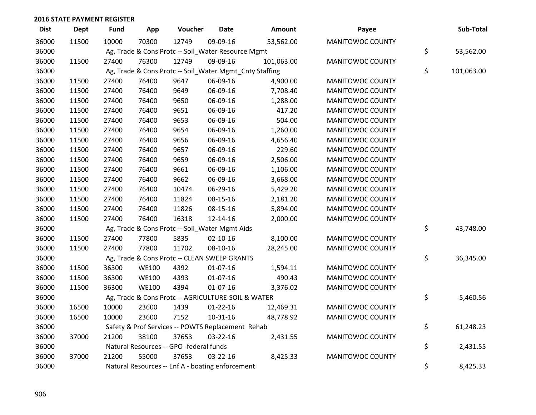| <b>Dist</b> | <b>Dept</b> | <b>Fund</b> | App          | Voucher                                                 | <b>Date</b>    | Amount     | Payee                   | Sub-Total        |
|-------------|-------------|-------------|--------------|---------------------------------------------------------|----------------|------------|-------------------------|------------------|
| 36000       | 11500       | 10000       | 70300        | 12749                                                   | 09-09-16       | 53,562.00  | MANITOWOC COUNTY        |                  |
| 36000       |             |             |              | Ag, Trade & Cons Protc -- Soil_Water Resource Mgmt      |                |            |                         | \$<br>53,562.00  |
| 36000       | 11500       | 27400       | 76300        | 12749                                                   | 09-09-16       | 101,063.00 | MANITOWOC COUNTY        |                  |
| 36000       |             |             |              | Ag, Trade & Cons Protc -- Soil_Water Mgmt_Cnty Staffing |                |            |                         | \$<br>101,063.00 |
| 36000       | 11500       | 27400       | 76400        | 9647                                                    | 06-09-16       | 4,900.00   | MANITOWOC COUNTY        |                  |
| 36000       | 11500       | 27400       | 76400        | 9649                                                    | 06-09-16       | 7,708.40   | MANITOWOC COUNTY        |                  |
| 36000       | 11500       | 27400       | 76400        | 9650                                                    | 06-09-16       | 1,288.00   | MANITOWOC COUNTY        |                  |
| 36000       | 11500       | 27400       | 76400        | 9651                                                    | 06-09-16       | 417.20     | MANITOWOC COUNTY        |                  |
| 36000       | 11500       | 27400       | 76400        | 9653                                                    | 06-09-16       | 504.00     | MANITOWOC COUNTY        |                  |
| 36000       | 11500       | 27400       | 76400        | 9654                                                    | 06-09-16       | 1,260.00   | MANITOWOC COUNTY        |                  |
| 36000       | 11500       | 27400       | 76400        | 9656                                                    | 06-09-16       | 4,656.40   | MANITOWOC COUNTY        |                  |
| 36000       | 11500       | 27400       | 76400        | 9657                                                    | 06-09-16       | 229.60     | MANITOWOC COUNTY        |                  |
| 36000       | 11500       | 27400       | 76400        | 9659                                                    | 06-09-16       | 2,506.00   | MANITOWOC COUNTY        |                  |
| 36000       | 11500       | 27400       | 76400        | 9661                                                    | 06-09-16       | 1,106.00   | MANITOWOC COUNTY        |                  |
| 36000       | 11500       | 27400       | 76400        | 9662                                                    | 06-09-16       | 3,668.00   | MANITOWOC COUNTY        |                  |
| 36000       | 11500       | 27400       | 76400        | 10474                                                   | 06-29-16       | 5,429.20   | MANITOWOC COUNTY        |                  |
| 36000       | 11500       | 27400       | 76400        | 11824                                                   | 08-15-16       | 2,181.20   | MANITOWOC COUNTY        |                  |
| 36000       | 11500       | 27400       | 76400        | 11826                                                   | 08-15-16       | 5,894.00   | MANITOWOC COUNTY        |                  |
| 36000       | 11500       | 27400       | 76400        | 16318                                                   | 12-14-16       | 2,000.00   | MANITOWOC COUNTY        |                  |
| 36000       |             |             |              | Ag, Trade & Cons Protc -- Soil_Water Mgmt Aids          |                |            |                         | \$<br>43,748.00  |
| 36000       | 11500       | 27400       | 77800        | 5835                                                    | $02 - 10 - 16$ | 8,100.00   | MANITOWOC COUNTY        |                  |
| 36000       | 11500       | 27400       | 77800        | 11702                                                   | 08-10-16       | 28,245.00  | MANITOWOC COUNTY        |                  |
| 36000       |             |             |              | Ag, Trade & Cons Protc -- CLEAN SWEEP GRANTS            |                |            |                         | \$<br>36,345.00  |
| 36000       | 11500       | 36300       | <b>WE100</b> | 4392                                                    | $01-07-16$     | 1,594.11   | <b>MANITOWOC COUNTY</b> |                  |
| 36000       | 11500       | 36300       | <b>WE100</b> | 4393                                                    | $01-07-16$     | 490.43     | MANITOWOC COUNTY        |                  |
| 36000       | 11500       | 36300       | <b>WE100</b> | 4394                                                    | 01-07-16       | 3,376.02   | MANITOWOC COUNTY        |                  |
| 36000       |             |             |              | Ag, Trade & Cons Protc -- AGRICULTURE-SOIL & WATER      |                |            |                         | \$<br>5,460.56   |
| 36000       | 16500       | 10000       | 23600        | 1439                                                    | $01 - 22 - 16$ | 12,469.31  | MANITOWOC COUNTY        |                  |
| 36000       | 16500       | 10000       | 23600        | 7152                                                    | 10-31-16       | 48,778.92  | MANITOWOC COUNTY        |                  |
| 36000       |             |             |              | Safety & Prof Services -- POWTS Replacement Rehab       |                |            |                         | \$<br>61,248.23  |
| 36000       | 37000       | 21200       | 38100        | 37653                                                   | 03-22-16       | 2,431.55   | MANITOWOC COUNTY        |                  |
| 36000       |             |             |              | Natural Resources -- GPO -federal funds                 |                |            |                         | \$<br>2,431.55   |
| 36000       | 37000       | 21200       | 55000        | 37653                                                   | 03-22-16       | 8,425.33   | MANITOWOC COUNTY        |                  |
| 36000       |             |             |              | Natural Resources -- Enf A - boating enforcement        |                |            |                         | \$<br>8,425.33   |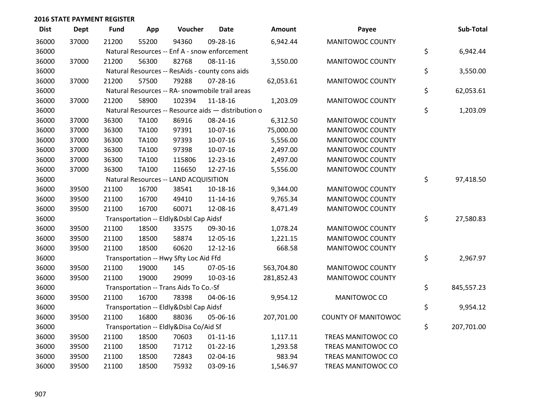| <b>Dist</b> | <b>Dept</b> | <b>Fund</b> | App          | Voucher                                             | <b>Date</b>    | <b>Amount</b> | Payee                      | Sub-Total        |
|-------------|-------------|-------------|--------------|-----------------------------------------------------|----------------|---------------|----------------------------|------------------|
| 36000       | 37000       | 21200       | 55200        | 94360                                               | 09-28-16       | 6,942.44      | <b>MANITOWOC COUNTY</b>    |                  |
| 36000       |             |             |              | Natural Resources -- Enf A - snow enforcement       |                |               |                            | \$<br>6,942.44   |
| 36000       | 37000       | 21200       | 56300        | 82768                                               | 08-11-16       | 3,550.00      | MANITOWOC COUNTY           |                  |
| 36000       |             |             |              | Natural Resources -- ResAids - county cons aids     |                |               |                            | \$<br>3,550.00   |
| 36000       | 37000       | 21200       | 57500        | 79288                                               | 07-28-16       | 62,053.61     | MANITOWOC COUNTY           |                  |
| 36000       |             |             |              | Natural Resources -- RA- snowmobile trail areas     |                |               |                            | \$<br>62,053.61  |
| 36000       | 37000       | 21200       | 58900        | 102394                                              | $11 - 18 - 16$ | 1,203.09      | MANITOWOC COUNTY           |                  |
| 36000       |             |             |              | Natural Resources -- Resource aids - distribution o |                |               |                            | \$<br>1,203.09   |
| 36000       | 37000       | 36300       | TA100        | 86916                                               | 08-24-16       | 6,312.50      | MANITOWOC COUNTY           |                  |
| 36000       | 37000       | 36300       | TA100        | 97391                                               | 10-07-16       | 75,000.00     | MANITOWOC COUNTY           |                  |
| 36000       | 37000       | 36300       | TA100        | 97393                                               | 10-07-16       | 5,556.00      | MANITOWOC COUNTY           |                  |
| 36000       | 37000       | 36300       | <b>TA100</b> | 97398                                               | 10-07-16       | 2,497.00      | MANITOWOC COUNTY           |                  |
| 36000       | 37000       | 36300       | <b>TA100</b> | 115806                                              | 12-23-16       | 2,497.00      | MANITOWOC COUNTY           |                  |
| 36000       | 37000       | 36300       | <b>TA100</b> | 116650                                              | 12-27-16       | 5,556.00      | MANITOWOC COUNTY           |                  |
| 36000       |             |             |              | Natural Resources -- LAND ACQUISITION               |                |               |                            | \$<br>97,418.50  |
| 36000       | 39500       | 21100       | 16700        | 38541                                               | 10-18-16       | 9,344.00      | MANITOWOC COUNTY           |                  |
| 36000       | 39500       | 21100       | 16700        | 49410                                               | 11-14-16       | 9,765.34      | MANITOWOC COUNTY           |                  |
| 36000       | 39500       | 21100       | 16700        | 60071                                               | 12-08-16       | 8,471.49      | MANITOWOC COUNTY           |                  |
| 36000       |             |             |              | Transportation -- Eldly&Dsbl Cap Aidsf              |                |               |                            | \$<br>27,580.83  |
| 36000       | 39500       | 21100       | 18500        | 33575                                               | 09-30-16       | 1,078.24      | MANITOWOC COUNTY           |                  |
| 36000       | 39500       | 21100       | 18500        | 58874                                               | 12-05-16       | 1,221.15      | MANITOWOC COUNTY           |                  |
| 36000       | 39500       | 21100       | 18500        | 60620                                               | 12-12-16       | 668.58        | MANITOWOC COUNTY           |                  |
| 36000       |             |             |              | Transportation -- Hwy Sfty Loc Aid Ffd              |                |               |                            | \$<br>2,967.97   |
| 36000       | 39500       | 21100       | 19000        | 145                                                 | 07-05-16       | 563,704.80    | MANITOWOC COUNTY           |                  |
| 36000       | 39500       | 21100       | 19000        | 29099                                               | 10-03-16       | 281,852.43    | MANITOWOC COUNTY           |                  |
| 36000       |             |             |              | Transportation -- Trans Aids To Co.-Sf              |                |               |                            | \$<br>845,557.23 |
| 36000       | 39500       | 21100       | 16700        | 78398                                               | 04-06-16       | 9,954.12      | MANITOWOC CO               |                  |
| 36000       |             |             |              | Transportation -- Eldly&Dsbl Cap Aidsf              |                |               |                            | \$<br>9,954.12   |
| 36000       | 39500       | 21100       | 16800        | 88036                                               | 05-06-16       | 207,701.00    | <b>COUNTY OF MANITOWOC</b> |                  |
| 36000       |             |             |              | Transportation -- Eldly&Disa Co/Aid Sf              |                |               |                            | \$<br>207,701.00 |
| 36000       | 39500       | 21100       | 18500        | 70603                                               | $01 - 11 - 16$ | 1,117.11      | TREAS MANITOWOC CO         |                  |
| 36000       | 39500       | 21100       | 18500        | 71712                                               | $01 - 22 - 16$ | 1,293.58      | TREAS MANITOWOC CO         |                  |
| 36000       | 39500       | 21100       | 18500        | 72843                                               | 02-04-16       | 983.94        | TREAS MANITOWOC CO         |                  |
| 36000       | 39500       | 21100       | 18500        | 75932                                               | 03-09-16       | 1,546.97      | TREAS MANITOWOC CO         |                  |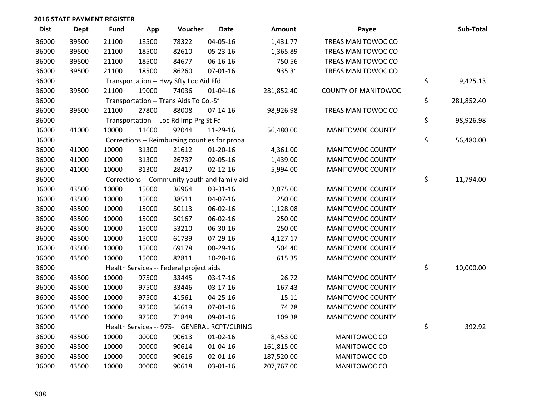| <b>Dist</b> | <b>Dept</b> | <b>Fund</b> | App   | Voucher                                       | <b>Date</b>                                   | <b>Amount</b> | Payee                      | Sub-Total        |
|-------------|-------------|-------------|-------|-----------------------------------------------|-----------------------------------------------|---------------|----------------------------|------------------|
| 36000       | 39500       | 21100       | 18500 | 78322                                         | 04-05-16                                      | 1,431.77      | TREAS MANITOWOC CO         |                  |
| 36000       | 39500       | 21100       | 18500 | 82610                                         | 05-23-16                                      | 1,365.89      | <b>TREAS MANITOWOC CO</b>  |                  |
| 36000       | 39500       | 21100       | 18500 | 84677                                         | 06-16-16                                      | 750.56        | TREAS MANITOWOC CO         |                  |
| 36000       | 39500       | 21100       | 18500 | 86260                                         | $07 - 01 - 16$                                | 935.31        | TREAS MANITOWOC CO         |                  |
| 36000       |             |             |       | Transportation -- Hwy Sfty Loc Aid Ffd        |                                               |               |                            | \$<br>9,425.13   |
| 36000       | 39500       | 21100       | 19000 | 74036                                         | $01 - 04 - 16$                                | 281,852.40    | <b>COUNTY OF MANITOWOC</b> |                  |
| 36000       |             |             |       | Transportation -- Trans Aids To Co.-Sf        |                                               |               |                            | \$<br>281,852.40 |
| 36000       | 39500       | 21100       | 27800 | 88008                                         | $07-14-16$                                    | 98,926.98     | TREAS MANITOWOC CO         |                  |
| 36000       |             |             |       | Transportation -- Loc Rd Imp Prg St Fd        |                                               |               |                            | \$<br>98,926.98  |
| 36000       | 41000       | 10000       | 11600 | 92044                                         | 11-29-16                                      | 56,480.00     | MANITOWOC COUNTY           |                  |
| 36000       |             |             |       | Corrections -- Reimbursing counties for proba |                                               |               |                            | \$<br>56,480.00  |
| 36000       | 41000       | 10000       | 31300 | 21612                                         | $01 - 20 - 16$                                | 4,361.00      | MANITOWOC COUNTY           |                  |
| 36000       | 41000       | 10000       | 31300 | 26737                                         | 02-05-16                                      | 1,439.00      | MANITOWOC COUNTY           |                  |
| 36000       | 41000       | 10000       | 31300 | 28417                                         | $02 - 12 - 16$                                | 5,994.00      | MANITOWOC COUNTY           |                  |
| 36000       |             |             |       |                                               | Corrections -- Community youth and family aid |               |                            | \$<br>11,794.00  |
| 36000       | 43500       | 10000       | 15000 | 36964                                         | 03-31-16                                      | 2,875.00      | MANITOWOC COUNTY           |                  |
| 36000       | 43500       | 10000       | 15000 | 38511                                         | 04-07-16                                      | 250.00        | MANITOWOC COUNTY           |                  |
| 36000       | 43500       | 10000       | 15000 | 50113                                         | 06-02-16                                      | 1,128.08      | MANITOWOC COUNTY           |                  |
| 36000       | 43500       | 10000       | 15000 | 50167                                         | 06-02-16                                      | 250.00        | MANITOWOC COUNTY           |                  |
| 36000       | 43500       | 10000       | 15000 | 53210                                         | 06-30-16                                      | 250.00        | MANITOWOC COUNTY           |                  |
| 36000       | 43500       | 10000       | 15000 | 61739                                         | 07-29-16                                      | 4,127.17      | MANITOWOC COUNTY           |                  |
| 36000       | 43500       | 10000       | 15000 | 69178                                         | 08-29-16                                      | 504.40        | MANITOWOC COUNTY           |                  |
| 36000       | 43500       | 10000       | 15000 | 82811                                         | 10-28-16                                      | 615.35        | MANITOWOC COUNTY           |                  |
| 36000       |             |             |       | Health Services -- Federal project aids       |                                               |               |                            | \$<br>10,000.00  |
| 36000       | 43500       | 10000       | 97500 | 33445                                         | 03-17-16                                      | 26.72         | MANITOWOC COUNTY           |                  |
| 36000       | 43500       | 10000       | 97500 | 33446                                         | 03-17-16                                      | 167.43        | MANITOWOC COUNTY           |                  |
| 36000       | 43500       | 10000       | 97500 | 41561                                         | $04 - 25 - 16$                                | 15.11         | MANITOWOC COUNTY           |                  |
| 36000       | 43500       | 10000       | 97500 | 56619                                         | 07-01-16                                      | 74.28         | MANITOWOC COUNTY           |                  |
| 36000       | 43500       | 10000       | 97500 | 71848                                         | 09-01-16                                      | 109.38        | MANITOWOC COUNTY           |                  |
| 36000       |             |             |       |                                               | Health Services -- 975- GENERAL RCPT/CLRING   |               |                            | \$<br>392.92     |
| 36000       | 43500       | 10000       | 00000 | 90613                                         | $01 - 02 - 16$                                | 8,453.00      | MANITOWOC CO               |                  |
| 36000       | 43500       | 10000       | 00000 | 90614                                         | $01 - 04 - 16$                                | 161,815.00    | MANITOWOC CO               |                  |
| 36000       | 43500       | 10000       | 00000 | 90616                                         | $02 - 01 - 16$                                | 187,520.00    | MANITOWOC CO               |                  |
| 36000       | 43500       | 10000       | 00000 | 90618                                         | 03-01-16                                      | 207,767.00    | MANITOWOC CO               |                  |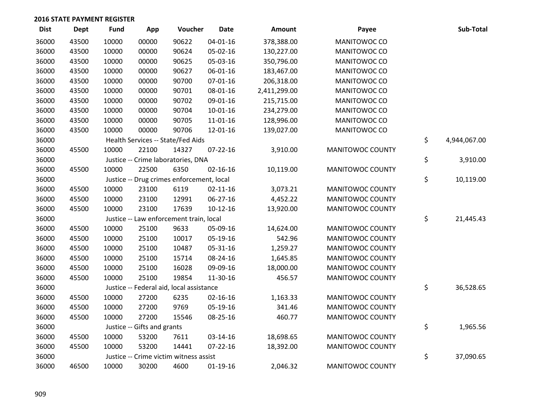| <b>Dist</b> | <b>Dept</b> | <b>Fund</b> | App                         | Voucher                                   | <b>Date</b>    | Amount       | Payee                   | Sub-Total          |
|-------------|-------------|-------------|-----------------------------|-------------------------------------------|----------------|--------------|-------------------------|--------------------|
| 36000       | 43500       | 10000       | 00000                       | 90622                                     | $04 - 01 - 16$ | 378,388.00   | MANITOWOC CO            |                    |
| 36000       | 43500       | 10000       | 00000                       | 90624                                     | 05-02-16       | 130,227.00   | MANITOWOC CO            |                    |
| 36000       | 43500       | 10000       | 00000                       | 90625                                     | 05-03-16       | 350,796.00   | MANITOWOC CO            |                    |
| 36000       | 43500       | 10000       | 00000                       | 90627                                     | 06-01-16       | 183,467.00   | MANITOWOC CO            |                    |
| 36000       | 43500       | 10000       | 00000                       | 90700                                     | $07 - 01 - 16$ | 206,318.00   | MANITOWOC CO            |                    |
| 36000       | 43500       | 10000       | 00000                       | 90701                                     | 08-01-16       | 2,411,299.00 | MANITOWOC CO            |                    |
| 36000       | 43500       | 10000       | 00000                       | 90702                                     | 09-01-16       | 215,715.00   | MANITOWOC CO            |                    |
| 36000       | 43500       | 10000       | 00000                       | 90704                                     | 10-01-16       | 234,279.00   | MANITOWOC CO            |                    |
| 36000       | 43500       | 10000       | 00000                       | 90705                                     | 11-01-16       | 128,996.00   | MANITOWOC CO            |                    |
| 36000       | 43500       | 10000       | 00000                       | 90706                                     | 12-01-16       | 139,027.00   | MANITOWOC CO            |                    |
| 36000       |             |             |                             | Health Services -- State/Fed Aids         |                |              |                         | \$<br>4,944,067.00 |
| 36000       | 45500       | 10000       | 22100                       | 14327                                     | $07 - 22 - 16$ | 3,910.00     | MANITOWOC COUNTY        |                    |
| 36000       |             |             |                             | Justice -- Crime laboratories, DNA        |                |              |                         | \$<br>3,910.00     |
| 36000       | 45500       | 10000       | 22500                       | 6350                                      | $02 - 16 - 16$ | 10,119.00    | MANITOWOC COUNTY        |                    |
| 36000       |             |             |                             | Justice -- Drug crimes enforcement, local |                |              |                         | \$<br>10,119.00    |
| 36000       | 45500       | 10000       | 23100                       | 6119                                      | $02 - 11 - 16$ | 3,073.21     | MANITOWOC COUNTY        |                    |
| 36000       | 45500       | 10000       | 23100                       | 12991                                     | 06-27-16       | 4,452.22     | MANITOWOC COUNTY        |                    |
| 36000       | 45500       | 10000       | 23100                       | 17639                                     | $10-12-16$     | 13,920.00    | MANITOWOC COUNTY        |                    |
| 36000       |             |             |                             | Justice -- Law enforcement train, local   |                |              |                         | \$<br>21,445.43    |
| 36000       | 45500       | 10000       | 25100                       | 9633                                      | 05-09-16       | 14,624.00    | MANITOWOC COUNTY        |                    |
| 36000       | 45500       | 10000       | 25100                       | 10017                                     | 05-19-16       | 542.96       | MANITOWOC COUNTY        |                    |
| 36000       | 45500       | 10000       | 25100                       | 10487                                     | 05-31-16       | 1,259.27     | <b>MANITOWOC COUNTY</b> |                    |
| 36000       | 45500       | 10000       | 25100                       | 15714                                     | 08-24-16       | 1,645.85     | MANITOWOC COUNTY        |                    |
| 36000       | 45500       | 10000       | 25100                       | 16028                                     | 09-09-16       | 18,000.00    | MANITOWOC COUNTY        |                    |
| 36000       | 45500       | 10000       | 25100                       | 19854                                     | 11-30-16       | 456.57       | MANITOWOC COUNTY        |                    |
| 36000       |             |             |                             | Justice -- Federal aid, local assistance  |                |              |                         | \$<br>36,528.65    |
| 36000       | 45500       | 10000       | 27200                       | 6235                                      | $02 - 16 - 16$ | 1,163.33     | MANITOWOC COUNTY        |                    |
| 36000       | 45500       | 10000       | 27200                       | 9769                                      | 05-19-16       | 341.46       | MANITOWOC COUNTY        |                    |
| 36000       | 45500       | 10000       | 27200                       | 15546                                     | 08-25-16       | 460.77       | MANITOWOC COUNTY        |                    |
| 36000       |             |             | Justice -- Gifts and grants |                                           |                |              |                         | \$<br>1,965.56     |
| 36000       | 45500       | 10000       | 53200                       | 7611                                      | 03-14-16       | 18,698.65    | MANITOWOC COUNTY        |                    |
| 36000       | 45500       | 10000       | 53200                       | 14441                                     | $07 - 22 - 16$ | 18,392.00    | MANITOWOC COUNTY        |                    |
| 36000       |             |             |                             | Justice -- Crime victim witness assist    |                |              |                         | \$<br>37,090.65    |
| 36000       | 46500       | 10000       | 30200                       | 4600                                      | $01-19-16$     | 2,046.32     | MANITOWOC COUNTY        |                    |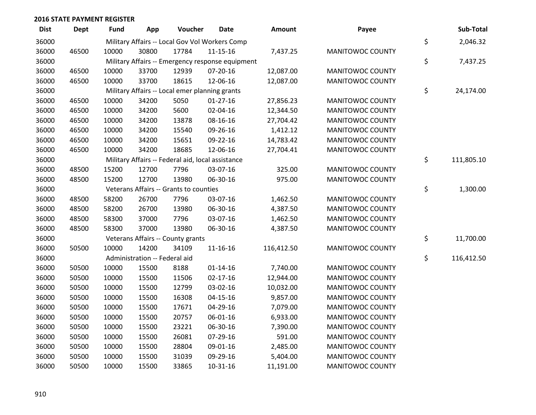| <b>Dist</b> | <b>Dept</b> | Fund  | App                           | Voucher                                           | Date                                             | Amount     | Payee                   | Sub-Total        |
|-------------|-------------|-------|-------------------------------|---------------------------------------------------|--------------------------------------------------|------------|-------------------------|------------------|
| 36000       |             |       |                               |                                                   | Military Affairs -- Local Gov Vol Workers Comp   |            |                         | \$<br>2,046.32   |
| 36000       | 46500       | 10000 | 30800                         | 17784                                             | $11 - 15 - 16$                                   | 7,437.25   | MANITOWOC COUNTY        |                  |
| 36000       |             |       |                               |                                                   | Military Affairs -- Emergency response equipment |            |                         | \$<br>7,437.25   |
| 36000       | 46500       | 10000 | 33700                         | 12939                                             | $07 - 20 - 16$                                   | 12,087.00  | MANITOWOC COUNTY        |                  |
| 36000       | 46500       | 10000 | 33700                         | 18615                                             | 12-06-16                                         | 12,087.00  | MANITOWOC COUNTY        |                  |
| 36000       |             |       |                               | Military Affairs -- Local emer planning grants    |                                                  |            |                         | \$<br>24,174.00  |
| 36000       | 46500       | 10000 | 34200                         | 5050                                              | $01-27-16$                                       | 27,856.23  | MANITOWOC COUNTY        |                  |
| 36000       | 46500       | 10000 | 34200                         | 5600                                              | 02-04-16                                         | 12,344.50  | MANITOWOC COUNTY        |                  |
| 36000       | 46500       | 10000 | 34200                         | 13878                                             | 08-16-16                                         | 27,704.42  | MANITOWOC COUNTY        |                  |
| 36000       | 46500       | 10000 | 34200                         | 15540                                             | 09-26-16                                         | 1,412.12   | MANITOWOC COUNTY        |                  |
| 36000       | 46500       | 10000 | 34200                         | 15651                                             | 09-22-16                                         | 14,783.42  | MANITOWOC COUNTY        |                  |
| 36000       | 46500       | 10000 | 34200                         | 18685                                             | 12-06-16                                         | 27,704.41  | MANITOWOC COUNTY        |                  |
| 36000       |             |       |                               | Military Affairs -- Federal aid, local assistance |                                                  |            |                         | \$<br>111,805.10 |
| 36000       | 48500       | 15200 | 12700                         | 7796                                              | 03-07-16                                         | 325.00     | MANITOWOC COUNTY        |                  |
| 36000       | 48500       | 15200 | 12700                         | 13980                                             | 06-30-16                                         | 975.00     | MANITOWOC COUNTY        |                  |
| 36000       |             |       |                               | Veterans Affairs -- Grants to counties            |                                                  |            |                         | \$<br>1,300.00   |
| 36000       | 48500       | 58200 | 26700                         | 7796                                              | 03-07-16                                         | 1,462.50   | MANITOWOC COUNTY        |                  |
| 36000       | 48500       | 58200 | 26700                         | 13980                                             | 06-30-16                                         | 4,387.50   | MANITOWOC COUNTY        |                  |
| 36000       | 48500       | 58300 | 37000                         | 7796                                              | 03-07-16                                         | 1,462.50   | MANITOWOC COUNTY        |                  |
| 36000       | 48500       | 58300 | 37000                         | 13980                                             | 06-30-16                                         | 4,387.50   | MANITOWOC COUNTY        |                  |
| 36000       |             |       |                               | Veterans Affairs -- County grants                 |                                                  |            |                         | \$<br>11,700.00  |
| 36000       | 50500       | 10000 | 14200                         | 34109                                             | 11-16-16                                         | 116,412.50 | MANITOWOC COUNTY        |                  |
| 36000       |             |       | Administration -- Federal aid |                                                   |                                                  |            |                         | \$<br>116,412.50 |
| 36000       | 50500       | 10000 | 15500                         | 8188                                              | $01 - 14 - 16$                                   | 7,740.00   | MANITOWOC COUNTY        |                  |
| 36000       | 50500       | 10000 | 15500                         | 11506                                             | $02 - 17 - 16$                                   | 12,944.00  | <b>MANITOWOC COUNTY</b> |                  |
| 36000       | 50500       | 10000 | 15500                         | 12799                                             | 03-02-16                                         | 10,032.00  | MANITOWOC COUNTY        |                  |
| 36000       | 50500       | 10000 | 15500                         | 16308                                             | $04 - 15 - 16$                                   | 9,857.00   | MANITOWOC COUNTY        |                  |
| 36000       | 50500       | 10000 | 15500                         | 17671                                             | 04-29-16                                         | 7,079.00   | MANITOWOC COUNTY        |                  |
| 36000       | 50500       | 10000 | 15500                         | 20757                                             | 06-01-16                                         | 6,933.00   | MANITOWOC COUNTY        |                  |
| 36000       | 50500       | 10000 | 15500                         | 23221                                             | 06-30-16                                         | 7,390.00   | MANITOWOC COUNTY        |                  |
| 36000       | 50500       | 10000 | 15500                         | 26081                                             | 07-29-16                                         | 591.00     | MANITOWOC COUNTY        |                  |
| 36000       | 50500       | 10000 | 15500                         | 28804                                             | 09-01-16                                         | 2,485.00   | MANITOWOC COUNTY        |                  |
| 36000       | 50500       | 10000 | 15500                         | 31039                                             | 09-29-16                                         | 5,404.00   | MANITOWOC COUNTY        |                  |
| 36000       | 50500       | 10000 | 15500                         | 33865                                             | $10-31-16$                                       | 11,191.00  | <b>MANITOWOC COUNTY</b> |                  |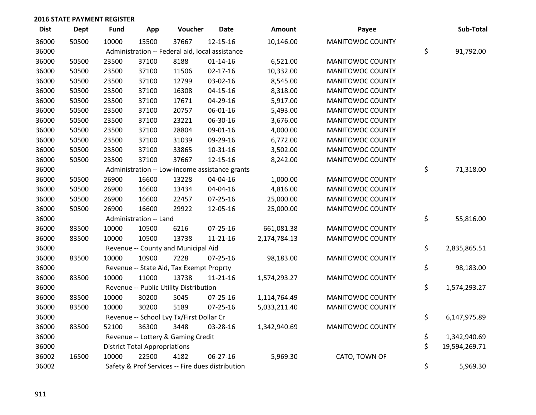| <b>Dist</b> | <b>Dept</b> | <b>Fund</b> | App                                  | Voucher                                         | <b>Date</b>                                      | Amount       | Payee                   | Sub-Total           |
|-------------|-------------|-------------|--------------------------------------|-------------------------------------------------|--------------------------------------------------|--------------|-------------------------|---------------------|
| 36000       | 50500       | 10000       | 15500                                | 37667                                           | 12-15-16                                         | 10,146.00    | <b>MANITOWOC COUNTY</b> |                     |
| 36000       |             |             |                                      | Administration -- Federal aid, local assistance |                                                  |              |                         | \$<br>91,792.00     |
| 36000       | 50500       | 23500       | 37100                                | 8188                                            | $01 - 14 - 16$                                   | 6,521.00     | MANITOWOC COUNTY        |                     |
| 36000       | 50500       | 23500       | 37100                                | 11506                                           | $02 - 17 - 16$                                   | 10,332.00    | <b>MANITOWOC COUNTY</b> |                     |
| 36000       | 50500       | 23500       | 37100                                | 12799                                           | 03-02-16                                         | 8,545.00     | <b>MANITOWOC COUNTY</b> |                     |
| 36000       | 50500       | 23500       | 37100                                | 16308                                           | $04 - 15 - 16$                                   | 8,318.00     | MANITOWOC COUNTY        |                     |
| 36000       | 50500       | 23500       | 37100                                | 17671                                           | 04-29-16                                         | 5,917.00     | MANITOWOC COUNTY        |                     |
| 36000       | 50500       | 23500       | 37100                                | 20757                                           | 06-01-16                                         | 5,493.00     | MANITOWOC COUNTY        |                     |
| 36000       | 50500       | 23500       | 37100                                | 23221                                           | 06-30-16                                         | 3,676.00     | <b>MANITOWOC COUNTY</b> |                     |
| 36000       | 50500       | 23500       | 37100                                | 28804                                           | 09-01-16                                         | 4,000.00     | MANITOWOC COUNTY        |                     |
| 36000       | 50500       | 23500       | 37100                                | 31039                                           | 09-29-16                                         | 6,772.00     | MANITOWOC COUNTY        |                     |
| 36000       | 50500       | 23500       | 37100                                | 33865                                           | 10-31-16                                         | 3,502.00     | MANITOWOC COUNTY        |                     |
| 36000       | 50500       | 23500       | 37100                                | 37667                                           | 12-15-16                                         | 8,242.00     | MANITOWOC COUNTY        |                     |
| 36000       |             |             |                                      |                                                 | Administration -- Low-income assistance grants   |              |                         | \$<br>71,318.00     |
| 36000       | 50500       | 26900       | 16600                                | 13228                                           | 04-04-16                                         | 1,000.00     | MANITOWOC COUNTY        |                     |
| 36000       | 50500       | 26900       | 16600                                | 13434                                           | 04-04-16                                         | 4,816.00     | MANITOWOC COUNTY        |                     |
| 36000       | 50500       | 26900       | 16600                                | 22457                                           | $07 - 25 - 16$                                   | 25,000.00    | MANITOWOC COUNTY        |                     |
| 36000       | 50500       | 26900       | 16600                                | 29922                                           | 12-05-16                                         | 25,000.00    | MANITOWOC COUNTY        |                     |
| 36000       |             |             | Administration -- Land               |                                                 |                                                  |              |                         | \$<br>55,816.00     |
| 36000       | 83500       | 10000       | 10500                                | 6216                                            | $07 - 25 - 16$                                   | 661,081.38   | MANITOWOC COUNTY        |                     |
| 36000       | 83500       | 10000       | 10500                                | 13738                                           | $11 - 21 - 16$                                   | 2,174,784.13 | MANITOWOC COUNTY        |                     |
| 36000       |             |             |                                      | Revenue -- County and Municipal Aid             |                                                  |              |                         | \$<br>2,835,865.51  |
| 36000       | 83500       | 10000       | 10900                                | 7228                                            | $07 - 25 - 16$                                   | 98,183.00    | MANITOWOC COUNTY        |                     |
| 36000       |             |             |                                      | Revenue -- State Aid, Tax Exempt Proprty        |                                                  |              |                         | \$<br>98,183.00     |
| 36000       | 83500       | 10000       | 11000                                | 13738                                           | 11-21-16                                         | 1,574,293.27 | MANITOWOC COUNTY        |                     |
| 36000       |             |             |                                      | Revenue -- Public Utility Distribution          |                                                  |              |                         | \$<br>1,574,293.27  |
| 36000       | 83500       | 10000       | 30200                                | 5045                                            | $07 - 25 - 16$                                   | 1,114,764.49 | MANITOWOC COUNTY        |                     |
| 36000       | 83500       | 10000       | 30200                                | 5189                                            | $07 - 25 - 16$                                   | 5,033,211.40 | MANITOWOC COUNTY        |                     |
| 36000       |             |             |                                      | Revenue -- School Lvy Tx/First Dollar Cr        |                                                  |              |                         | \$<br>6,147,975.89  |
| 36000       | 83500       | 52100       | 36300                                | 3448                                            | 03-28-16                                         | 1,342,940.69 | MANITOWOC COUNTY        |                     |
| 36000       |             |             |                                      | Revenue -- Lottery & Gaming Credit              |                                                  |              |                         | \$<br>1,342,940.69  |
| 36000       |             |             | <b>District Total Appropriations</b> |                                                 |                                                  |              |                         | \$<br>19,594,269.71 |
| 36002       | 16500       | 10000       | 22500                                | 4182                                            | 06-27-16                                         | 5,969.30     | CATO, TOWN OF           |                     |
| 36002       |             |             |                                      |                                                 | Safety & Prof Services -- Fire dues distribution |              |                         | \$<br>5,969.30      |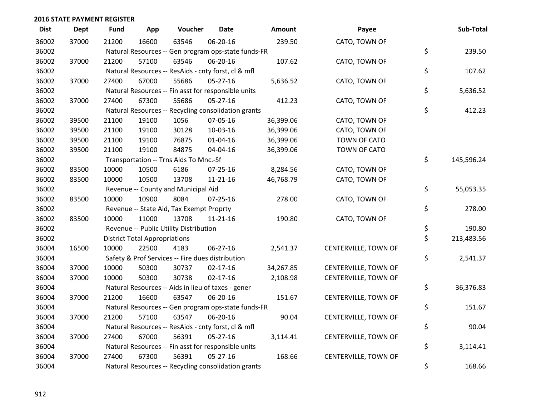| <b>Dist</b> | <b>Dept</b> | Fund  | App                                  | Voucher                                             | Date           | Amount    | Payee                | Sub-Total        |
|-------------|-------------|-------|--------------------------------------|-----------------------------------------------------|----------------|-----------|----------------------|------------------|
| 36002       | 37000       | 21200 | 16600                                | 63546                                               | 06-20-16       | 239.50    | CATO, TOWN OF        |                  |
| 36002       |             |       |                                      | Natural Resources -- Gen program ops-state funds-FR |                |           |                      | \$<br>239.50     |
| 36002       | 37000       | 21200 | 57100                                | 63546                                               | 06-20-16       | 107.62    | CATO, TOWN OF        |                  |
| 36002       |             |       |                                      | Natural Resources -- ResAids - cnty forst, cl & mfl |                |           |                      | \$<br>107.62     |
| 36002       | 37000       | 27400 | 67000                                | 55686                                               | $05 - 27 - 16$ | 5,636.52  | CATO, TOWN OF        |                  |
| 36002       |             |       |                                      | Natural Resources -- Fin asst for responsible units |                |           |                      | \$<br>5,636.52   |
| 36002       | 37000       | 27400 | 67300                                | 55686                                               | 05-27-16       | 412.23    | CATO, TOWN OF        |                  |
| 36002       |             |       |                                      | Natural Resources -- Recycling consolidation grants |                |           |                      | \$<br>412.23     |
| 36002       | 39500       | 21100 | 19100                                | 1056                                                | 07-05-16       | 36,399.06 | CATO, TOWN OF        |                  |
| 36002       | 39500       | 21100 | 19100                                | 30128                                               | 10-03-16       | 36,399.06 | CATO, TOWN OF        |                  |
| 36002       | 39500       | 21100 | 19100                                | 76875                                               | $01 - 04 - 16$ | 36,399.06 | TOWN OF CATO         |                  |
| 36002       | 39500       | 21100 | 19100                                | 84875                                               | 04-04-16       | 36,399.06 | TOWN OF CATO         |                  |
| 36002       |             |       |                                      | Transportation -- Trns Aids To Mnc.-Sf              |                |           |                      | \$<br>145,596.24 |
| 36002       | 83500       | 10000 | 10500                                | 6186                                                | $07 - 25 - 16$ | 8,284.56  | CATO, TOWN OF        |                  |
| 36002       | 83500       | 10000 | 10500                                | 13708                                               | $11 - 21 - 16$ | 46,768.79 | CATO, TOWN OF        |                  |
| 36002       |             |       |                                      | Revenue -- County and Municipal Aid                 |                |           |                      | \$<br>55,053.35  |
| 36002       | 83500       | 10000 | 10900                                | 8084                                                | $07 - 25 - 16$ | 278.00    | CATO, TOWN OF        |                  |
| 36002       |             |       |                                      | Revenue -- State Aid, Tax Exempt Proprty            |                |           |                      | \$<br>278.00     |
| 36002       | 83500       | 10000 | 11000                                | 13708                                               | $11 - 21 - 16$ | 190.80    | CATO, TOWN OF        |                  |
| 36002       |             |       |                                      | Revenue -- Public Utility Distribution              |                |           |                      | \$<br>190.80     |
| 36002       |             |       | <b>District Total Appropriations</b> |                                                     |                |           |                      | \$<br>213,483.56 |
| 36004       | 16500       | 10000 | 22500                                | 4183                                                | 06-27-16       | 2,541.37  | CENTERVILLE, TOWN OF |                  |
| 36004       |             |       |                                      | Safety & Prof Services -- Fire dues distribution    |                |           |                      | \$<br>2,541.37   |
| 36004       | 37000       | 10000 | 50300                                | 30737                                               | $02 - 17 - 16$ | 34,267.85 | CENTERVILLE, TOWN OF |                  |
| 36004       | 37000       | 10000 | 50300                                | 30738                                               | $02 - 17 - 16$ | 2,108.98  | CENTERVILLE, TOWN OF |                  |
| 36004       |             |       |                                      | Natural Resources -- Aids in lieu of taxes - gener  |                |           |                      | \$<br>36,376.83  |
| 36004       | 37000       | 21200 | 16600                                | 63547                                               | 06-20-16       | 151.67    | CENTERVILLE, TOWN OF |                  |
| 36004       |             |       |                                      | Natural Resources -- Gen program ops-state funds-FR |                |           |                      | \$<br>151.67     |
| 36004       | 37000       | 21200 | 57100                                | 63547                                               | 06-20-16       | 90.04     | CENTERVILLE, TOWN OF |                  |
| 36004       |             |       |                                      | Natural Resources -- ResAids - cnty forst, cl & mfl |                |           |                      | \$<br>90.04      |
| 36004       | 37000       | 27400 | 67000                                | 56391                                               | $05 - 27 - 16$ | 3,114.41  | CENTERVILLE, TOWN OF |                  |
| 36004       |             |       |                                      | Natural Resources -- Fin asst for responsible units |                |           |                      | \$<br>3,114.41   |
| 36004       | 37000       | 27400 | 67300                                | 56391                                               | $05 - 27 - 16$ | 168.66    | CENTERVILLE, TOWN OF |                  |
| 36004       |             |       |                                      | Natural Resources -- Recycling consolidation grants |                |           |                      | \$<br>168.66     |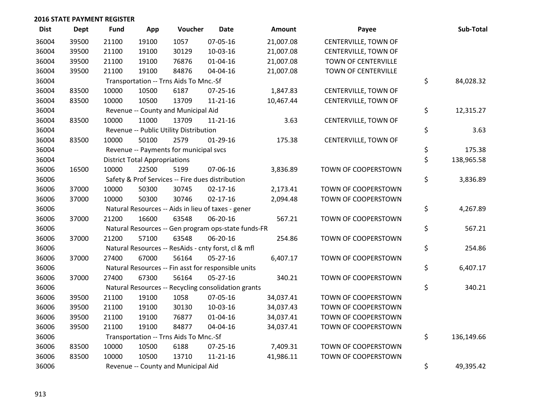| <b>Dist</b> | Dept  | <b>Fund</b> | App                                  | Voucher                                | Date                                                | <b>Amount</b> | Payee                | Sub-Total        |
|-------------|-------|-------------|--------------------------------------|----------------------------------------|-----------------------------------------------------|---------------|----------------------|------------------|
| 36004       | 39500 | 21100       | 19100                                | 1057                                   | 07-05-16                                            | 21,007.08     | CENTERVILLE, TOWN OF |                  |
| 36004       | 39500 | 21100       | 19100                                | 30129                                  | 10-03-16                                            | 21,007.08     | CENTERVILLE, TOWN OF |                  |
| 36004       | 39500 | 21100       | 19100                                | 76876                                  | $01 - 04 - 16$                                      | 21,007.08     | TOWN OF CENTERVILLE  |                  |
| 36004       | 39500 | 21100       | 19100                                | 84876                                  | 04-04-16                                            | 21,007.08     | TOWN OF CENTERVILLE  |                  |
| 36004       |       |             |                                      | Transportation -- Trns Aids To Mnc.-Sf |                                                     |               |                      | \$<br>84,028.32  |
| 36004       | 83500 | 10000       | 10500                                | 6187                                   | 07-25-16                                            | 1,847.83      | CENTERVILLE, TOWN OF |                  |
| 36004       | 83500 | 10000       | 10500                                | 13709                                  | 11-21-16                                            | 10,467.44     | CENTERVILLE, TOWN OF |                  |
| 36004       |       |             |                                      | Revenue -- County and Municipal Aid    |                                                     |               |                      | \$<br>12,315.27  |
| 36004       | 83500 | 10000       | 11000                                | 13709                                  | $11 - 21 - 16$                                      | 3.63          | CENTERVILLE, TOWN OF |                  |
| 36004       |       |             |                                      | Revenue -- Public Utility Distribution |                                                     |               |                      | \$<br>3.63       |
| 36004       | 83500 | 10000       | 50100                                | 2579                                   | $01-29-16$                                          | 175.38        | CENTERVILLE, TOWN OF |                  |
| 36004       |       |             |                                      | Revenue -- Payments for municipal svcs |                                                     |               |                      | \$<br>175.38     |
| 36004       |       |             | <b>District Total Appropriations</b> |                                        |                                                     |               |                      | \$<br>138,965.58 |
| 36006       | 16500 | 10000       | 22500                                | 5199                                   | 07-06-16                                            | 3,836.89      | TOWN OF COOPERSTOWN  |                  |
| 36006       |       |             |                                      |                                        | Safety & Prof Services -- Fire dues distribution    |               |                      | \$<br>3,836.89   |
| 36006       | 37000 | 10000       | 50300                                | 30745                                  | 02-17-16                                            | 2,173.41      | TOWN OF COOPERSTOWN  |                  |
| 36006       | 37000 | 10000       | 50300                                | 30746                                  | $02 - 17 - 16$                                      | 2,094.48      | TOWN OF COOPERSTOWN  |                  |
| 36006       |       |             |                                      |                                        | Natural Resources -- Aids in lieu of taxes - gener  |               |                      | \$<br>4,267.89   |
| 36006       | 37000 | 21200       | 16600                                | 63548                                  | 06-20-16                                            | 567.21        | TOWN OF COOPERSTOWN  |                  |
| 36006       |       |             |                                      |                                        | Natural Resources -- Gen program ops-state funds-FR |               |                      | \$<br>567.21     |
| 36006       | 37000 | 21200       | 57100                                | 63548                                  | 06-20-16                                            | 254.86        | TOWN OF COOPERSTOWN  |                  |
| 36006       |       |             |                                      |                                        | Natural Resources -- ResAids - cnty forst, cl & mfl |               |                      | \$<br>254.86     |
| 36006       | 37000 | 27400       | 67000                                | 56164                                  | 05-27-16                                            | 6,407.17      | TOWN OF COOPERSTOWN  |                  |
| 36006       |       |             |                                      |                                        | Natural Resources -- Fin asst for responsible units |               |                      | \$<br>6,407.17   |
| 36006       | 37000 | 27400       | 67300                                | 56164                                  | 05-27-16                                            | 340.21        | TOWN OF COOPERSTOWN  |                  |
| 36006       |       |             |                                      |                                        | Natural Resources -- Recycling consolidation grants |               |                      | \$<br>340.21     |
| 36006       | 39500 | 21100       | 19100                                | 1058                                   | 07-05-16                                            | 34,037.41     | TOWN OF COOPERSTOWN  |                  |
| 36006       | 39500 | 21100       | 19100                                | 30130                                  | 10-03-16                                            | 34,037.43     | TOWN OF COOPERSTOWN  |                  |
| 36006       | 39500 | 21100       | 19100                                | 76877                                  | $01 - 04 - 16$                                      | 34,037.41     | TOWN OF COOPERSTOWN  |                  |
| 36006       | 39500 | 21100       | 19100                                | 84877                                  | 04-04-16                                            | 34,037.41     | TOWN OF COOPERSTOWN  |                  |
| 36006       |       |             |                                      | Transportation -- Trns Aids To Mnc.-Sf |                                                     |               |                      | \$<br>136,149.66 |
| 36006       | 83500 | 10000       | 10500                                | 6188                                   | $07 - 25 - 16$                                      | 7,409.31      | TOWN OF COOPERSTOWN  |                  |
| 36006       | 83500 | 10000       | 10500                                | 13710                                  | $11 - 21 - 16$                                      | 41,986.11     | TOWN OF COOPERSTOWN  |                  |
| 36006       |       |             |                                      | Revenue -- County and Municipal Aid    |                                                     |               |                      | \$<br>49,395.42  |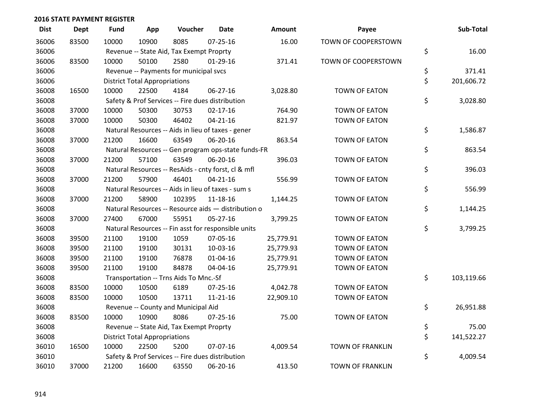| <b>Dist</b> | <b>Dept</b> | <b>Fund</b> | App                                  | Voucher                                             | <b>Date</b>    | Amount    | Payee                   | Sub-Total        |
|-------------|-------------|-------------|--------------------------------------|-----------------------------------------------------|----------------|-----------|-------------------------|------------------|
| 36006       | 83500       | 10000       | 10900                                | 8085                                                | $07 - 25 - 16$ | 16.00     | TOWN OF COOPERSTOWN     |                  |
| 36006       |             |             |                                      | Revenue -- State Aid, Tax Exempt Proprty            |                |           |                         | \$<br>16.00      |
| 36006       | 83500       | 10000       | 50100                                | 2580                                                | $01-29-16$     | 371.41    | TOWN OF COOPERSTOWN     |                  |
| 36006       |             |             |                                      | Revenue -- Payments for municipal svcs              |                |           |                         | \$<br>371.41     |
| 36006       |             |             | <b>District Total Appropriations</b> |                                                     |                |           |                         | \$<br>201,606.72 |
| 36008       | 16500       | 10000       | 22500                                | 4184                                                | 06-27-16       | 3,028.80  | <b>TOWN OF EATON</b>    |                  |
| 36008       |             |             |                                      | Safety & Prof Services -- Fire dues distribution    |                |           |                         | \$<br>3,028.80   |
| 36008       | 37000       | 10000       | 50300                                | 30753                                               | $02 - 17 - 16$ | 764.90    | TOWN OF EATON           |                  |
| 36008       | 37000       | 10000       | 50300                                | 46402                                               | $04 - 21 - 16$ | 821.97    | <b>TOWN OF EATON</b>    |                  |
| 36008       |             |             |                                      | Natural Resources -- Aids in lieu of taxes - gener  |                |           |                         | \$<br>1,586.87   |
| 36008       | 37000       | 21200       | 16600                                | 63549                                               | 06-20-16       | 863.54    | TOWN OF EATON           |                  |
| 36008       |             |             |                                      | Natural Resources -- Gen program ops-state funds-FR |                |           |                         | \$<br>863.54     |
| 36008       | 37000       | 21200       | 57100                                | 63549                                               | 06-20-16       | 396.03    | <b>TOWN OF EATON</b>    |                  |
| 36008       |             |             |                                      | Natural Resources -- ResAids - cnty forst, cl & mfl |                |           |                         | \$<br>396.03     |
| 36008       | 37000       | 21200       | 57900                                | 46401                                               | $04 - 21 - 16$ | 556.99    | <b>TOWN OF EATON</b>    |                  |
| 36008       |             |             |                                      | Natural Resources -- Aids in lieu of taxes - sum s  |                |           |                         | \$<br>556.99     |
| 36008       | 37000       | 21200       | 58900                                | 102395                                              | 11-18-16       | 1,144.25  | <b>TOWN OF EATON</b>    |                  |
| 36008       |             |             |                                      | Natural Resources -- Resource aids - distribution o |                |           |                         | \$<br>1,144.25   |
| 36008       | 37000       | 27400       | 67000                                | 55951                                               | $05 - 27 - 16$ | 3,799.25  | <b>TOWN OF EATON</b>    |                  |
| 36008       |             |             |                                      | Natural Resources -- Fin asst for responsible units |                |           |                         | \$<br>3,799.25   |
| 36008       | 39500       | 21100       | 19100                                | 1059                                                | 07-05-16       | 25,779.91 | TOWN OF EATON           |                  |
| 36008       | 39500       | 21100       | 19100                                | 30131                                               | $10-03-16$     | 25,779.93 | <b>TOWN OF EATON</b>    |                  |
| 36008       | 39500       | 21100       | 19100                                | 76878                                               | $01 - 04 - 16$ | 25,779.91 | TOWN OF EATON           |                  |
| 36008       | 39500       | 21100       | 19100                                | 84878                                               | 04-04-16       | 25,779.91 | TOWN OF EATON           |                  |
| 36008       |             |             |                                      | Transportation -- Trns Aids To Mnc.-Sf              |                |           |                         | \$<br>103,119.66 |
| 36008       | 83500       | 10000       | 10500                                | 6189                                                | $07 - 25 - 16$ | 4,042.78  | <b>TOWN OF EATON</b>    |                  |
| 36008       | 83500       | 10000       | 10500                                | 13711                                               | $11 - 21 - 16$ | 22,909.10 | TOWN OF EATON           |                  |
| 36008       |             |             |                                      | Revenue -- County and Municipal Aid                 |                |           |                         | \$<br>26,951.88  |
| 36008       | 83500       | 10000       | 10900                                | 8086                                                | $07 - 25 - 16$ | 75.00     | TOWN OF EATON           |                  |
| 36008       |             |             |                                      | Revenue -- State Aid, Tax Exempt Proprty            |                |           |                         | \$<br>75.00      |
| 36008       |             |             | <b>District Total Appropriations</b> |                                                     |                |           |                         | \$<br>141,522.27 |
| 36010       | 16500       | 10000       | 22500                                | 5200                                                | 07-07-16       | 4,009.54  | <b>TOWN OF FRANKLIN</b> |                  |
| 36010       |             |             |                                      | Safety & Prof Services -- Fire dues distribution    |                |           |                         | \$<br>4,009.54   |
| 36010       | 37000       | 21200       | 16600                                | 63550                                               | 06-20-16       | 413.50    | <b>TOWN OF FRANKLIN</b> |                  |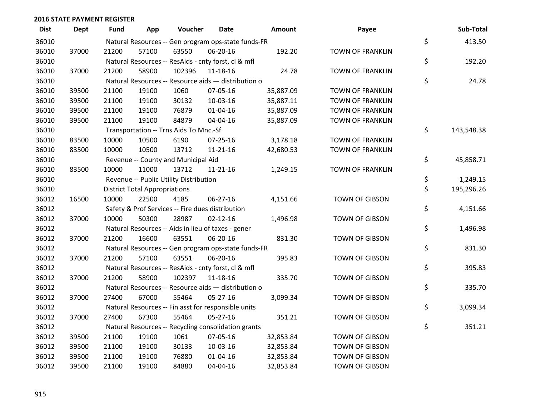| <b>Dist</b> | <b>Dept</b> | <b>Fund</b> | App                                  | Voucher                                             | Date           | <b>Amount</b> | Payee                   | Sub-Total        |
|-------------|-------------|-------------|--------------------------------------|-----------------------------------------------------|----------------|---------------|-------------------------|------------------|
| 36010       |             |             |                                      | Natural Resources -- Gen program ops-state funds-FR |                |               |                         | \$<br>413.50     |
| 36010       | 37000       | 21200       | 57100                                | 63550                                               | 06-20-16       | 192.20        | <b>TOWN OF FRANKLIN</b> |                  |
| 36010       |             |             |                                      | Natural Resources -- ResAids - cnty forst, cl & mfl |                |               |                         | \$<br>192.20     |
| 36010       | 37000       | 21200       | 58900                                | 102396                                              | 11-18-16       | 24.78         | <b>TOWN OF FRANKLIN</b> |                  |
| 36010       |             |             |                                      | Natural Resources -- Resource aids - distribution o |                |               |                         | \$<br>24.78      |
| 36010       | 39500       | 21100       | 19100                                | 1060                                                | 07-05-16       | 35,887.09     | <b>TOWN OF FRANKLIN</b> |                  |
| 36010       | 39500       | 21100       | 19100                                | 30132                                               | 10-03-16       | 35,887.11     | <b>TOWN OF FRANKLIN</b> |                  |
| 36010       | 39500       | 21100       | 19100                                | 76879                                               | $01 - 04 - 16$ | 35,887.09     | TOWN OF FRANKLIN        |                  |
| 36010       | 39500       | 21100       | 19100                                | 84879                                               | 04-04-16       | 35,887.09     | TOWN OF FRANKLIN        |                  |
| 36010       |             |             |                                      | Transportation -- Trns Aids To Mnc.-Sf              |                |               |                         | \$<br>143,548.38 |
| 36010       | 83500       | 10000       | 10500                                | 6190                                                | $07 - 25 - 16$ | 3,178.18      | <b>TOWN OF FRANKLIN</b> |                  |
| 36010       | 83500       | 10000       | 10500                                | 13712                                               | $11 - 21 - 16$ | 42,680.53     | <b>TOWN OF FRANKLIN</b> |                  |
| 36010       |             |             |                                      | Revenue -- County and Municipal Aid                 |                |               |                         | \$<br>45,858.71  |
| 36010       | 83500       | 10000       | 11000                                | 13712                                               | $11 - 21 - 16$ | 1,249.15      | <b>TOWN OF FRANKLIN</b> |                  |
| 36010       |             |             |                                      | Revenue -- Public Utility Distribution              |                |               |                         | \$<br>1,249.15   |
| 36010       |             |             | <b>District Total Appropriations</b> |                                                     |                |               |                         | \$<br>195,296.26 |
| 36012       | 16500       | 10000       | 22500                                | 4185                                                | 06-27-16       | 4,151.66      | <b>TOWN OF GIBSON</b>   |                  |
| 36012       |             |             |                                      | Safety & Prof Services -- Fire dues distribution    |                |               |                         | \$<br>4,151.66   |
| 36012       | 37000       | 10000       | 50300                                | 28987                                               | $02 - 12 - 16$ | 1,496.98      | TOWN OF GIBSON          |                  |
| 36012       |             |             |                                      | Natural Resources -- Aids in lieu of taxes - gener  |                |               |                         | \$<br>1,496.98   |
| 36012       | 37000       | 21200       | 16600                                | 63551                                               | 06-20-16       | 831.30        | <b>TOWN OF GIBSON</b>   |                  |
| 36012       |             |             |                                      | Natural Resources -- Gen program ops-state funds-FR |                |               |                         | \$<br>831.30     |
| 36012       | 37000       | 21200       | 57100                                | 63551                                               | 06-20-16       | 395.83        | <b>TOWN OF GIBSON</b>   |                  |
| 36012       |             |             |                                      | Natural Resources -- ResAids - cnty forst, cl & mfl |                |               |                         | \$<br>395.83     |
| 36012       | 37000       | 21200       | 58900                                | 102397                                              | 11-18-16       | 335.70        | <b>TOWN OF GIBSON</b>   |                  |
| 36012       |             |             |                                      | Natural Resources -- Resource aids - distribution o |                |               |                         | \$<br>335.70     |
| 36012       | 37000       | 27400       | 67000                                | 55464                                               | $05 - 27 - 16$ | 3,099.34      | TOWN OF GIBSON          |                  |
| 36012       |             |             |                                      | Natural Resources -- Fin asst for responsible units |                |               |                         | \$<br>3,099.34   |
| 36012       | 37000       | 27400       | 67300                                | 55464                                               | $05 - 27 - 16$ | 351.21        | TOWN OF GIBSON          |                  |
| 36012       |             |             |                                      | Natural Resources -- Recycling consolidation grants |                |               |                         | \$<br>351.21     |
| 36012       | 39500       | 21100       | 19100                                | 1061                                                | 07-05-16       | 32,853.84     | <b>TOWN OF GIBSON</b>   |                  |
| 36012       | 39500       | 21100       | 19100                                | 30133                                               | 10-03-16       | 32,853.84     | TOWN OF GIBSON          |                  |
| 36012       | 39500       | 21100       | 19100                                | 76880                                               | $01 - 04 - 16$ | 32,853.84     | TOWN OF GIBSON          |                  |
| 36012       | 39500       | 21100       | 19100                                | 84880                                               | 04-04-16       | 32,853.84     | <b>TOWN OF GIBSON</b>   |                  |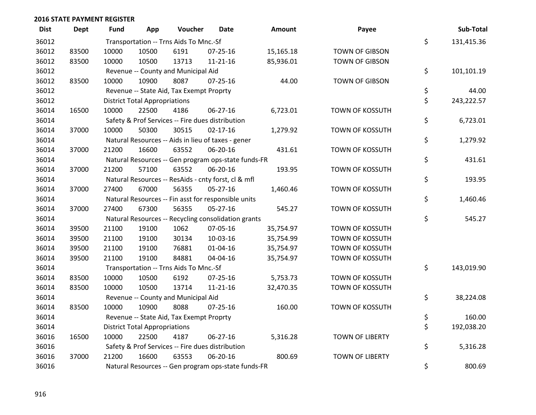| <b>Dist</b> | <b>Dept</b> | <b>Fund</b> | App                                  | Voucher                                  | Date                                                | <b>Amount</b> | Payee                  | Sub-Total        |
|-------------|-------------|-------------|--------------------------------------|------------------------------------------|-----------------------------------------------------|---------------|------------------------|------------------|
| 36012       |             |             |                                      | Transportation -- Trns Aids To Mnc.-Sf   |                                                     |               |                        | \$<br>131,415.36 |
| 36012       | 83500       | 10000       | 10500                                | 6191                                     | $07 - 25 - 16$                                      | 15,165.18     | <b>TOWN OF GIBSON</b>  |                  |
| 36012       | 83500       | 10000       | 10500                                | 13713                                    | $11 - 21 - 16$                                      | 85,936.01     | <b>TOWN OF GIBSON</b>  |                  |
| 36012       |             |             |                                      | Revenue -- County and Municipal Aid      |                                                     |               |                        | \$<br>101,101.19 |
| 36012       | 83500       | 10000       | 10900                                | 8087                                     | $07 - 25 - 16$                                      | 44.00         | <b>TOWN OF GIBSON</b>  |                  |
| 36012       |             |             |                                      | Revenue -- State Aid, Tax Exempt Proprty |                                                     |               |                        | \$<br>44.00      |
| 36012       |             |             | <b>District Total Appropriations</b> |                                          |                                                     |               |                        | \$<br>243,222.57 |
| 36014       | 16500       | 10000       | 22500                                | 4186                                     | 06-27-16                                            | 6,723.01      | TOWN OF KOSSUTH        |                  |
| 36014       |             |             |                                      |                                          | Safety & Prof Services -- Fire dues distribution    |               |                        | \$<br>6,723.01   |
| 36014       | 37000       | 10000       | 50300                                | 30515                                    | $02 - 17 - 16$                                      | 1,279.92      | TOWN OF KOSSUTH        |                  |
| 36014       |             |             |                                      |                                          | Natural Resources -- Aids in lieu of taxes - gener  |               |                        | \$<br>1,279.92   |
| 36014       | 37000       | 21200       | 16600                                | 63552                                    | 06-20-16                                            | 431.61        | TOWN OF KOSSUTH        |                  |
| 36014       |             |             |                                      |                                          | Natural Resources -- Gen program ops-state funds-FR |               |                        | \$<br>431.61     |
| 36014       | 37000       | 21200       | 57100                                | 63552                                    | 06-20-16                                            | 193.95        | <b>TOWN OF KOSSUTH</b> |                  |
| 36014       |             |             |                                      |                                          | Natural Resources -- ResAids - cnty forst, cl & mfl |               |                        | \$<br>193.95     |
| 36014       | 37000       | 27400       | 67000                                | 56355                                    | $05 - 27 - 16$                                      | 1,460.46      | TOWN OF KOSSUTH        |                  |
| 36014       |             |             |                                      |                                          | Natural Resources -- Fin asst for responsible units |               |                        | \$<br>1,460.46   |
| 36014       | 37000       | 27400       | 67300                                | 56355                                    | 05-27-16                                            | 545.27        | TOWN OF KOSSUTH        |                  |
| 36014       |             |             |                                      |                                          | Natural Resources -- Recycling consolidation grants |               |                        | \$<br>545.27     |
| 36014       | 39500       | 21100       | 19100                                | 1062                                     | 07-05-16                                            | 35,754.97     | TOWN OF KOSSUTH        |                  |
| 36014       | 39500       | 21100       | 19100                                | 30134                                    | 10-03-16                                            | 35,754.99     | <b>TOWN OF KOSSUTH</b> |                  |
| 36014       | 39500       | 21100       | 19100                                | 76881                                    | $01 - 04 - 16$                                      | 35,754.97     | <b>TOWN OF KOSSUTH</b> |                  |
| 36014       | 39500       | 21100       | 19100                                | 84881                                    | 04-04-16                                            | 35,754.97     | TOWN OF KOSSUTH        |                  |
| 36014       |             |             |                                      | Transportation -- Trns Aids To Mnc.-Sf   |                                                     |               |                        | \$<br>143,019.90 |
| 36014       | 83500       | 10000       | 10500                                | 6192                                     | $07 - 25 - 16$                                      | 5,753.73      | <b>TOWN OF KOSSUTH</b> |                  |
| 36014       | 83500       | 10000       | 10500                                | 13714                                    | $11 - 21 - 16$                                      | 32,470.35     | TOWN OF KOSSUTH        |                  |
| 36014       |             |             |                                      | Revenue -- County and Municipal Aid      |                                                     |               |                        | \$<br>38,224.08  |
| 36014       | 83500       | 10000       | 10900                                | 8088                                     | $07 - 25 - 16$                                      | 160.00        | TOWN OF KOSSUTH        |                  |
| 36014       |             |             |                                      | Revenue -- State Aid, Tax Exempt Proprty |                                                     |               |                        | \$<br>160.00     |
| 36014       |             |             | <b>District Total Appropriations</b> |                                          |                                                     |               |                        | \$<br>192,038.20 |
| 36016       | 16500       | 10000       | 22500                                | 4187                                     | 06-27-16                                            | 5,316.28      | <b>TOWN OF LIBERTY</b> |                  |
| 36016       |             |             |                                      |                                          | Safety & Prof Services -- Fire dues distribution    |               |                        | \$<br>5,316.28   |
| 36016       | 37000       | 21200       | 16600                                | 63553                                    | 06-20-16                                            | 800.69        | <b>TOWN OF LIBERTY</b> |                  |
| 36016       |             |             |                                      |                                          | Natural Resources -- Gen program ops-state funds-FR |               |                        | \$<br>800.69     |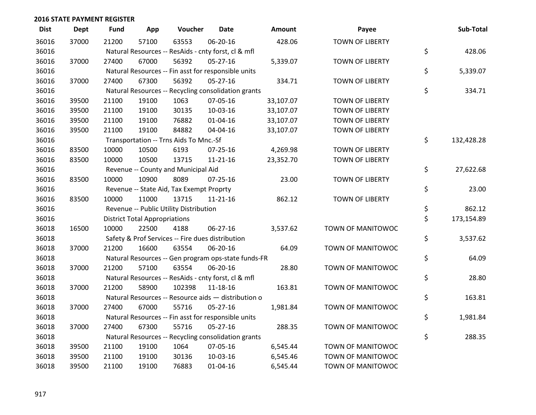| <b>Dist</b> | <b>Dept</b> | <b>Fund</b> | App                                  | Voucher                                             | <b>Date</b>    | Amount    | Payee                  | Sub-Total        |
|-------------|-------------|-------------|--------------------------------------|-----------------------------------------------------|----------------|-----------|------------------------|------------------|
| 36016       | 37000       | 21200       | 57100                                | 63553                                               | 06-20-16       | 428.06    | <b>TOWN OF LIBERTY</b> |                  |
| 36016       |             |             |                                      | Natural Resources -- ResAids - cnty forst, cl & mfl |                |           |                        | \$<br>428.06     |
| 36016       | 37000       | 27400       | 67000                                | 56392                                               | 05-27-16       | 5,339.07  | <b>TOWN OF LIBERTY</b> |                  |
| 36016       |             |             |                                      | Natural Resources -- Fin asst for responsible units |                |           |                        | \$<br>5,339.07   |
| 36016       | 37000       | 27400       | 67300                                | 56392                                               | 05-27-16       | 334.71    | <b>TOWN OF LIBERTY</b> |                  |
| 36016       |             |             |                                      | Natural Resources -- Recycling consolidation grants |                |           |                        | \$<br>334.71     |
| 36016       | 39500       | 21100       | 19100                                | 1063                                                | 07-05-16       | 33,107.07 | <b>TOWN OF LIBERTY</b> |                  |
| 36016       | 39500       | 21100       | 19100                                | 30135                                               | 10-03-16       | 33,107.07 | <b>TOWN OF LIBERTY</b> |                  |
| 36016       | 39500       | 21100       | 19100                                | 76882                                               | $01 - 04 - 16$ | 33,107.07 | <b>TOWN OF LIBERTY</b> |                  |
| 36016       | 39500       | 21100       | 19100                                | 84882                                               | 04-04-16       | 33,107.07 | <b>TOWN OF LIBERTY</b> |                  |
| 36016       |             |             |                                      | Transportation -- Trns Aids To Mnc.-Sf              |                |           |                        | \$<br>132,428.28 |
| 36016       | 83500       | 10000       | 10500                                | 6193                                                | 07-25-16       | 4,269.98  | <b>TOWN OF LIBERTY</b> |                  |
| 36016       | 83500       | 10000       | 10500                                | 13715                                               | $11 - 21 - 16$ | 23,352.70 | <b>TOWN OF LIBERTY</b> |                  |
| 36016       |             |             |                                      | Revenue -- County and Municipal Aid                 |                |           |                        | \$<br>27,622.68  |
| 36016       | 83500       | 10000       | 10900                                | 8089                                                | $07 - 25 - 16$ | 23.00     | <b>TOWN OF LIBERTY</b> |                  |
| 36016       |             |             |                                      | Revenue -- State Aid, Tax Exempt Proprty            |                |           |                        | \$<br>23.00      |
| 36016       | 83500       | 10000       | 11000                                | 13715                                               | $11 - 21 - 16$ | 862.12    | <b>TOWN OF LIBERTY</b> |                  |
| 36016       |             |             |                                      | Revenue -- Public Utility Distribution              |                |           |                        | \$<br>862.12     |
| 36016       |             |             | <b>District Total Appropriations</b> |                                                     |                |           |                        | \$<br>173,154.89 |
| 36018       | 16500       | 10000       | 22500                                | 4188                                                | 06-27-16       | 3,537.62  | TOWN OF MANITOWOC      |                  |
| 36018       |             |             |                                      | Safety & Prof Services -- Fire dues distribution    |                |           |                        | \$<br>3,537.62   |
| 36018       | 37000       | 21200       | 16600                                | 63554                                               | 06-20-16       | 64.09     | TOWN OF MANITOWOC      |                  |
| 36018       |             |             |                                      | Natural Resources -- Gen program ops-state funds-FR |                |           |                        | \$<br>64.09      |
| 36018       | 37000       | 21200       | 57100                                | 63554                                               | 06-20-16       | 28.80     | TOWN OF MANITOWOC      |                  |
| 36018       |             |             |                                      | Natural Resources -- ResAids - cnty forst, cl & mfl |                |           |                        | \$<br>28.80      |
| 36018       | 37000       | 21200       | 58900                                | 102398                                              | 11-18-16       | 163.81    | TOWN OF MANITOWOC      |                  |
| 36018       |             |             |                                      | Natural Resources -- Resource aids - distribution o |                |           |                        | \$<br>163.81     |
| 36018       | 37000       | 27400       | 67000                                | 55716                                               | 05-27-16       | 1,981.84  | TOWN OF MANITOWOC      |                  |
| 36018       |             |             |                                      | Natural Resources -- Fin asst for responsible units |                |           |                        | \$<br>1,981.84   |
| 36018       | 37000       | 27400       | 67300                                | 55716                                               | $05 - 27 - 16$ | 288.35    | TOWN OF MANITOWOC      |                  |
| 36018       |             |             |                                      | Natural Resources -- Recycling consolidation grants |                |           |                        | \$<br>288.35     |
| 36018       | 39500       | 21100       | 19100                                | 1064                                                | 07-05-16       | 6,545.44  | TOWN OF MANITOWOC      |                  |
| 36018       | 39500       | 21100       | 19100                                | 30136                                               | 10-03-16       | 6,545.46  | TOWN OF MANITOWOC      |                  |
| 36018       | 39500       | 21100       | 19100                                | 76883                                               | $01 - 04 - 16$ | 6,545.44  | TOWN OF MANITOWOC      |                  |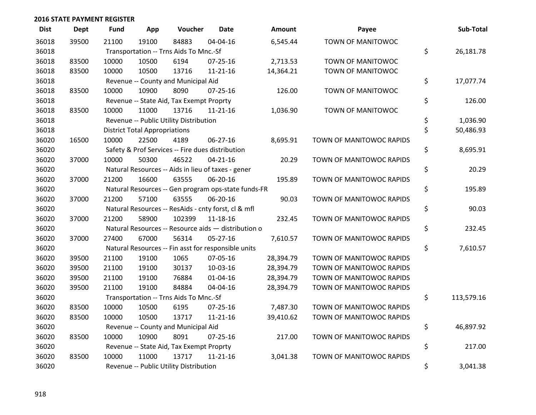| <b>Dist</b> | <b>Dept</b> | Fund  | App                                  | Voucher                                             | <b>Date</b>    | <b>Amount</b> | Payee                    | Sub-Total        |
|-------------|-------------|-------|--------------------------------------|-----------------------------------------------------|----------------|---------------|--------------------------|------------------|
| 36018       | 39500       | 21100 | 19100                                | 84883                                               | 04-04-16       | 6,545.44      | TOWN OF MANITOWOC        |                  |
| 36018       |             |       |                                      | Transportation -- Trns Aids To Mnc.-Sf              |                |               |                          | \$<br>26,181.78  |
| 36018       | 83500       | 10000 | 10500                                | 6194                                                | $07 - 25 - 16$ | 2,713.53      | TOWN OF MANITOWOC        |                  |
| 36018       | 83500       | 10000 | 10500                                | 13716                                               | $11 - 21 - 16$ | 14,364.21     | TOWN OF MANITOWOC        |                  |
| 36018       |             |       |                                      | Revenue -- County and Municipal Aid                 |                |               |                          | \$<br>17,077.74  |
| 36018       | 83500       | 10000 | 10900                                | 8090                                                | 07-25-16       | 126.00        | TOWN OF MANITOWOC        |                  |
| 36018       |             |       |                                      | Revenue -- State Aid, Tax Exempt Proprty            |                |               |                          | \$<br>126.00     |
| 36018       | 83500       | 10000 | 11000                                | 13716                                               | $11 - 21 - 16$ | 1,036.90      | TOWN OF MANITOWOC        |                  |
| 36018       |             |       |                                      | Revenue -- Public Utility Distribution              |                |               |                          | \$<br>1,036.90   |
| 36018       |             |       | <b>District Total Appropriations</b> |                                                     |                |               |                          | \$<br>50,486.93  |
| 36020       | 16500       | 10000 | 22500                                | 4189                                                | 06-27-16       | 8,695.91      | TOWN OF MANITOWOC RAPIDS |                  |
| 36020       |             |       |                                      | Safety & Prof Services -- Fire dues distribution    |                |               |                          | \$<br>8,695.91   |
| 36020       | 37000       | 10000 | 50300                                | 46522                                               | $04 - 21 - 16$ | 20.29         | TOWN OF MANITOWOC RAPIDS |                  |
| 36020       |             |       |                                      | Natural Resources -- Aids in lieu of taxes - gener  |                |               |                          | \$<br>20.29      |
| 36020       | 37000       | 21200 | 16600                                | 63555                                               | 06-20-16       | 195.89        | TOWN OF MANITOWOC RAPIDS |                  |
| 36020       |             |       |                                      | Natural Resources -- Gen program ops-state funds-FR |                |               |                          | \$<br>195.89     |
| 36020       | 37000       | 21200 | 57100                                | 63555                                               | 06-20-16       | 90.03         | TOWN OF MANITOWOC RAPIDS |                  |
| 36020       |             |       |                                      | Natural Resources -- ResAids - cnty forst, cl & mfl |                |               |                          | \$<br>90.03      |
| 36020       | 37000       | 21200 | 58900                                | 102399                                              | 11-18-16       | 232.45        | TOWN OF MANITOWOC RAPIDS |                  |
| 36020       |             |       |                                      | Natural Resources -- Resource aids - distribution o |                |               |                          | \$<br>232.45     |
| 36020       | 37000       | 27400 | 67000                                | 56314                                               | 05-27-16       | 7,610.57      | TOWN OF MANITOWOC RAPIDS |                  |
| 36020       |             |       |                                      | Natural Resources -- Fin asst for responsible units |                |               |                          | \$<br>7,610.57   |
| 36020       | 39500       | 21100 | 19100                                | 1065                                                | 07-05-16       | 28,394.79     | TOWN OF MANITOWOC RAPIDS |                  |
| 36020       | 39500       | 21100 | 19100                                | 30137                                               | 10-03-16       | 28,394.79     | TOWN OF MANITOWOC RAPIDS |                  |
| 36020       | 39500       | 21100 | 19100                                | 76884                                               | $01 - 04 - 16$ | 28,394.79     | TOWN OF MANITOWOC RAPIDS |                  |
| 36020       | 39500       | 21100 | 19100                                | 84884                                               | 04-04-16       | 28,394.79     | TOWN OF MANITOWOC RAPIDS |                  |
| 36020       |             |       |                                      | Transportation -- Trns Aids To Mnc.-Sf              |                |               |                          | \$<br>113,579.16 |
| 36020       | 83500       | 10000 | 10500                                | 6195                                                | $07 - 25 - 16$ | 7,487.30      | TOWN OF MANITOWOC RAPIDS |                  |
| 36020       | 83500       | 10000 | 10500                                | 13717                                               | $11 - 21 - 16$ | 39,410.62     | TOWN OF MANITOWOC RAPIDS |                  |
| 36020       |             |       |                                      | Revenue -- County and Municipal Aid                 |                |               |                          | \$<br>46,897.92  |
| 36020       | 83500       | 10000 | 10900                                | 8091                                                | 07-25-16       | 217.00        | TOWN OF MANITOWOC RAPIDS |                  |
| 36020       |             |       |                                      | Revenue -- State Aid, Tax Exempt Proprty            |                |               |                          | \$<br>217.00     |
| 36020       | 83500       | 10000 | 11000                                | 13717                                               | $11 - 21 - 16$ | 3,041.38      | TOWN OF MANITOWOC RAPIDS |                  |
| 36020       |             |       |                                      | Revenue -- Public Utility Distribution              |                |               |                          | \$<br>3,041.38   |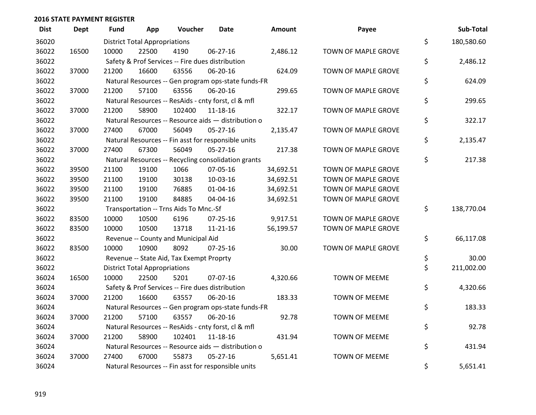| <b>Dist</b> | <b>Dept</b> | <b>Fund</b> | App                                  | Voucher                                             | <b>Date</b>    | Amount    | Payee                | Sub-Total        |
|-------------|-------------|-------------|--------------------------------------|-----------------------------------------------------|----------------|-----------|----------------------|------------------|
| 36020       |             |             | <b>District Total Appropriations</b> |                                                     |                |           |                      | \$<br>180,580.60 |
| 36022       | 16500       | 10000       | 22500                                | 4190                                                | 06-27-16       | 2,486.12  | TOWN OF MAPLE GROVE  |                  |
| 36022       |             |             |                                      | Safety & Prof Services -- Fire dues distribution    |                |           |                      | \$<br>2,486.12   |
| 36022       | 37000       | 21200       | 16600                                | 63556                                               | 06-20-16       | 624.09    | TOWN OF MAPLE GROVE  |                  |
| 36022       |             |             |                                      | Natural Resources -- Gen program ops-state funds-FR |                |           |                      | \$<br>624.09     |
| 36022       | 37000       | 21200       | 57100                                | 63556                                               | 06-20-16       | 299.65    | TOWN OF MAPLE GROVE  |                  |
| 36022       |             |             |                                      | Natural Resources -- ResAids - cnty forst, cl & mfl |                |           |                      | \$<br>299.65     |
| 36022       | 37000       | 21200       | 58900                                | 102400                                              | 11-18-16       | 322.17    | TOWN OF MAPLE GROVE  |                  |
| 36022       |             |             |                                      | Natural Resources -- Resource aids - distribution o |                |           |                      | \$<br>322.17     |
| 36022       | 37000       | 27400       | 67000                                | 56049                                               | $05-27-16$     | 2,135.47  | TOWN OF MAPLE GROVE  |                  |
| 36022       |             |             |                                      | Natural Resources -- Fin asst for responsible units |                |           |                      | \$<br>2,135.47   |
| 36022       | 37000       | 27400       | 67300                                | 56049                                               | 05-27-16       | 217.38    | TOWN OF MAPLE GROVE  |                  |
| 36022       |             |             |                                      | Natural Resources -- Recycling consolidation grants |                |           |                      | \$<br>217.38     |
| 36022       | 39500       | 21100       | 19100                                | 1066                                                | 07-05-16       | 34,692.51 | TOWN OF MAPLE GROVE  |                  |
| 36022       | 39500       | 21100       | 19100                                | 30138                                               | 10-03-16       | 34,692.51 | TOWN OF MAPLE GROVE  |                  |
| 36022       | 39500       | 21100       | 19100                                | 76885                                               | $01 - 04 - 16$ | 34,692.51 | TOWN OF MAPLE GROVE  |                  |
| 36022       | 39500       | 21100       | 19100                                | 84885                                               | 04-04-16       | 34,692.51 | TOWN OF MAPLE GROVE  |                  |
| 36022       |             |             |                                      | Transportation -- Trns Aids To Mnc.-Sf              |                |           |                      | \$<br>138,770.04 |
| 36022       | 83500       | 10000       | 10500                                | 6196                                                | $07 - 25 - 16$ | 9,917.51  | TOWN OF MAPLE GROVE  |                  |
| 36022       | 83500       | 10000       | 10500                                | 13718                                               | $11 - 21 - 16$ | 56,199.57 | TOWN OF MAPLE GROVE  |                  |
| 36022       |             |             |                                      | Revenue -- County and Municipal Aid                 |                |           |                      | \$<br>66,117.08  |
| 36022       | 83500       | 10000       | 10900                                | 8092                                                | $07 - 25 - 16$ | 30.00     | TOWN OF MAPLE GROVE  |                  |
| 36022       |             |             |                                      | Revenue -- State Aid, Tax Exempt Proprty            |                |           |                      | \$<br>30.00      |
| 36022       |             |             | <b>District Total Appropriations</b> |                                                     |                |           |                      | \$<br>211,002.00 |
| 36024       | 16500       | 10000       | 22500                                | 5201                                                | 07-07-16       | 4,320.66  | <b>TOWN OF MEEME</b> |                  |
| 36024       |             |             |                                      | Safety & Prof Services -- Fire dues distribution    |                |           |                      | \$<br>4,320.66   |
| 36024       | 37000       | 21200       | 16600                                | 63557                                               | 06-20-16       | 183.33    | <b>TOWN OF MEEME</b> |                  |
| 36024       |             |             |                                      | Natural Resources -- Gen program ops-state funds-FR |                |           |                      | \$<br>183.33     |
| 36024       | 37000       | 21200       | 57100                                | 63557                                               | 06-20-16       | 92.78     | <b>TOWN OF MEEME</b> |                  |
| 36024       |             |             |                                      | Natural Resources -- ResAids - cnty forst, cl & mfl |                |           |                      | \$<br>92.78      |
| 36024       | 37000       | 21200       | 58900                                | 102401                                              | 11-18-16       | 431.94    | <b>TOWN OF MEEME</b> |                  |
| 36024       |             |             |                                      | Natural Resources -- Resource aids - distribution o |                |           |                      | \$<br>431.94     |
| 36024       | 37000       | 27400       | 67000                                | 55873                                               | $05 - 27 - 16$ | 5,651.41  | <b>TOWN OF MEEME</b> |                  |
| 36024       |             |             |                                      | Natural Resources -- Fin asst for responsible units |                |           |                      | \$<br>5,651.41   |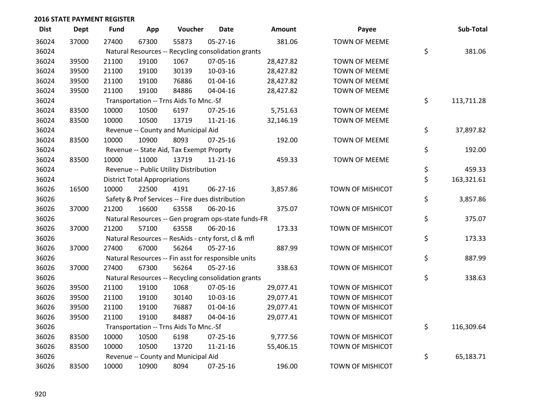| <b>Dist</b> | <b>Dept</b> | <b>Fund</b> | App                                  | Voucher                                             | Date           | Amount    | Payee                   | Sub-Total        |
|-------------|-------------|-------------|--------------------------------------|-----------------------------------------------------|----------------|-----------|-------------------------|------------------|
| 36024       | 37000       | 27400       | 67300                                | 55873                                               | 05-27-16       | 381.06    | <b>TOWN OF MEEME</b>    |                  |
| 36024       |             |             |                                      | Natural Resources -- Recycling consolidation grants |                |           |                         | \$<br>381.06     |
| 36024       | 39500       | 21100       | 19100                                | 1067                                                | 07-05-16       | 28,427.82 | <b>TOWN OF MEEME</b>    |                  |
| 36024       | 39500       | 21100       | 19100                                | 30139                                               | 10-03-16       | 28,427.82 | <b>TOWN OF MEEME</b>    |                  |
| 36024       | 39500       | 21100       | 19100                                | 76886                                               | $01 - 04 - 16$ | 28,427.82 | TOWN OF MEEME           |                  |
| 36024       | 39500       | 21100       | 19100                                | 84886                                               | 04-04-16       | 28,427.82 | <b>TOWN OF MEEME</b>    |                  |
| 36024       |             |             |                                      | Transportation -- Trns Aids To Mnc.-Sf              |                |           |                         | \$<br>113,711.28 |
| 36024       | 83500       | 10000       | 10500                                | 6197                                                | $07 - 25 - 16$ | 5,751.63  | TOWN OF MEEME           |                  |
| 36024       | 83500       | 10000       | 10500                                | 13719                                               | 11-21-16       | 32,146.19 | <b>TOWN OF MEEME</b>    |                  |
| 36024       |             |             |                                      | Revenue -- County and Municipal Aid                 |                |           |                         | \$<br>37,897.82  |
| 36024       | 83500       | 10000       | 10900                                | 8093                                                | $07 - 25 - 16$ | 192.00    | TOWN OF MEEME           |                  |
| 36024       |             |             |                                      | Revenue -- State Aid, Tax Exempt Proprty            |                |           |                         | \$<br>192.00     |
| 36024       | 83500       | 10000       | 11000                                | 13719                                               | $11 - 21 - 16$ | 459.33    | <b>TOWN OF MEEME</b>    |                  |
| 36024       |             |             |                                      | Revenue -- Public Utility Distribution              |                |           |                         | \$<br>459.33     |
| 36024       |             |             | <b>District Total Appropriations</b> |                                                     |                |           |                         | \$<br>163,321.61 |
| 36026       | 16500       | 10000       | 22500                                | 4191                                                | 06-27-16       | 3,857.86  | TOWN OF MISHICOT        |                  |
| 36026       |             |             |                                      | Safety & Prof Services -- Fire dues distribution    |                |           |                         | \$<br>3,857.86   |
| 36026       | 37000       | 21200       | 16600                                | 63558                                               | 06-20-16       | 375.07    | TOWN OF MISHICOT        |                  |
| 36026       |             |             |                                      | Natural Resources -- Gen program ops-state funds-FR |                |           |                         | \$<br>375.07     |
| 36026       | 37000       | 21200       | 57100                                | 63558                                               | 06-20-16       | 173.33    | TOWN OF MISHICOT        |                  |
| 36026       |             |             |                                      | Natural Resources -- ResAids - cnty forst, cl & mfl |                |           |                         | \$<br>173.33     |
| 36026       | 37000       | 27400       | 67000                                | 56264                                               | 05-27-16       | 887.99    | TOWN OF MISHICOT        |                  |
| 36026       |             |             |                                      | Natural Resources -- Fin asst for responsible units |                |           |                         | \$<br>887.99     |
| 36026       | 37000       | 27400       | 67300                                | 56264                                               | $05 - 27 - 16$ | 338.63    | TOWN OF MISHICOT        |                  |
| 36026       |             |             |                                      | Natural Resources -- Recycling consolidation grants |                |           |                         | \$<br>338.63     |
| 36026       | 39500       | 21100       | 19100                                | 1068                                                | 07-05-16       | 29,077.41 | TOWN OF MISHICOT        |                  |
| 36026       | 39500       | 21100       | 19100                                | 30140                                               | 10-03-16       | 29,077.41 | <b>TOWN OF MISHICOT</b> |                  |
| 36026       | 39500       | 21100       | 19100                                | 76887                                               | $01 - 04 - 16$ | 29,077.41 | <b>TOWN OF MISHICOT</b> |                  |
| 36026       | 39500       | 21100       | 19100                                | 84887                                               | 04-04-16       | 29,077.41 | TOWN OF MISHICOT        |                  |
| 36026       |             |             |                                      | Transportation -- Trns Aids To Mnc.-Sf              |                |           |                         | \$<br>116,309.64 |
| 36026       | 83500       | 10000       | 10500                                | 6198                                                | 07-25-16       | 9,777.56  | TOWN OF MISHICOT        |                  |
| 36026       | 83500       | 10000       | 10500                                | 13720                                               | 11-21-16       | 55,406.15 | TOWN OF MISHICOT        |                  |
| 36026       |             |             |                                      | Revenue -- County and Municipal Aid                 |                |           |                         | \$<br>65,183.71  |
| 36026       | 83500       | 10000       | 10900                                | 8094                                                | $07 - 25 - 16$ | 196.00    | <b>TOWN OF MISHICOT</b> |                  |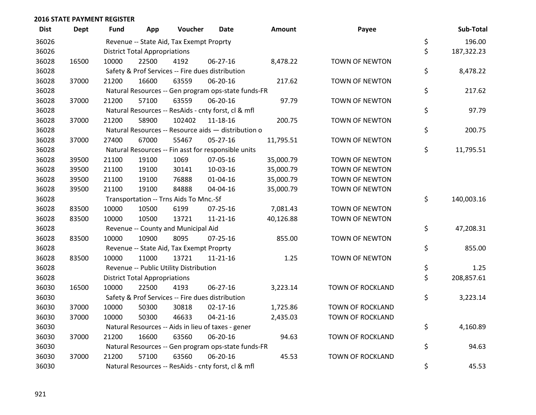| <b>Dist</b> | <b>Dept</b> | <b>Fund</b> | App                                  | Voucher                                             | <b>Date</b>    | Amount    | Payee                   | Sub-Total        |
|-------------|-------------|-------------|--------------------------------------|-----------------------------------------------------|----------------|-----------|-------------------------|------------------|
| 36026       |             |             |                                      | Revenue -- State Aid, Tax Exempt Proprty            |                |           |                         | \$<br>196.00     |
| 36026       |             |             | <b>District Total Appropriations</b> |                                                     |                |           |                         | \$<br>187,322.23 |
| 36028       | 16500       | 10000       | 22500                                | 4192                                                | $06-27-16$     | 8,478.22  | <b>TOWN OF NEWTON</b>   |                  |
| 36028       |             |             |                                      | Safety & Prof Services -- Fire dues distribution    |                |           |                         | \$<br>8,478.22   |
| 36028       | 37000       | 21200       | 16600                                | 63559                                               | 06-20-16       | 217.62    | TOWN OF NEWTON          |                  |
| 36028       |             |             |                                      | Natural Resources -- Gen program ops-state funds-FR |                |           |                         | \$<br>217.62     |
| 36028       | 37000       | 21200       | 57100                                | 63559                                               | 06-20-16       | 97.79     | <b>TOWN OF NEWTON</b>   |                  |
| 36028       |             |             |                                      | Natural Resources -- ResAids - cnty forst, cl & mfl |                |           |                         | \$<br>97.79      |
| 36028       | 37000       | 21200       | 58900                                | 102402                                              | 11-18-16       | 200.75    | TOWN OF NEWTON          |                  |
| 36028       |             |             |                                      | Natural Resources -- Resource aids - distribution o |                |           |                         | \$<br>200.75     |
| 36028       | 37000       | 27400       | 67000                                | 55467                                               | $05-27-16$     | 11,795.51 | TOWN OF NEWTON          |                  |
| 36028       |             |             |                                      | Natural Resources -- Fin asst for responsible units |                |           |                         | \$<br>11,795.51  |
| 36028       | 39500       | 21100       | 19100                                | 1069                                                | 07-05-16       | 35,000.79 | TOWN OF NEWTON          |                  |
| 36028       | 39500       | 21100       | 19100                                | 30141                                               | 10-03-16       | 35,000.79 | <b>TOWN OF NEWTON</b>   |                  |
| 36028       | 39500       | 21100       | 19100                                | 76888                                               | $01 - 04 - 16$ | 35,000.79 | <b>TOWN OF NEWTON</b>   |                  |
| 36028       | 39500       | 21100       | 19100                                | 84888                                               | 04-04-16       | 35,000.79 | TOWN OF NEWTON          |                  |
| 36028       |             |             |                                      | Transportation -- Trns Aids To Mnc.-Sf              |                |           |                         | \$<br>140,003.16 |
| 36028       | 83500       | 10000       | 10500                                | 6199                                                | 07-25-16       | 7,081.43  | <b>TOWN OF NEWTON</b>   |                  |
| 36028       | 83500       | 10000       | 10500                                | 13721                                               | $11 - 21 - 16$ | 40,126.88 | <b>TOWN OF NEWTON</b>   |                  |
| 36028       |             |             |                                      | Revenue -- County and Municipal Aid                 |                |           |                         | \$<br>47,208.31  |
| 36028       | 83500       | 10000       | 10900                                | 8095                                                | $07 - 25 - 16$ | 855.00    | <b>TOWN OF NEWTON</b>   |                  |
| 36028       |             |             |                                      | Revenue -- State Aid, Tax Exempt Proprty            |                |           |                         | \$<br>855.00     |
| 36028       | 83500       | 10000       | 11000                                | 13721                                               | 11-21-16       | 1.25      | TOWN OF NEWTON          |                  |
| 36028       |             |             |                                      | Revenue -- Public Utility Distribution              |                |           |                         | \$<br>1.25       |
| 36028       |             |             | <b>District Total Appropriations</b> |                                                     |                |           |                         | \$<br>208,857.61 |
| 36030       | 16500       | 10000       | 22500                                | 4193                                                | $06-27-16$     | 3,223.14  | TOWN OF ROCKLAND        |                  |
| 36030       |             |             |                                      | Safety & Prof Services -- Fire dues distribution    |                |           |                         | \$<br>3,223.14   |
| 36030       | 37000       | 10000       | 50300                                | 30818                                               | $02 - 17 - 16$ | 1,725.86  | TOWN OF ROCKLAND        |                  |
| 36030       | 37000       | 10000       | 50300                                | 46633                                               | $04 - 21 - 16$ | 2,435.03  | TOWN OF ROCKLAND        |                  |
| 36030       |             |             |                                      | Natural Resources -- Aids in lieu of taxes - gener  |                |           |                         | \$<br>4,160.89   |
| 36030       | 37000       | 21200       | 16600                                | 63560                                               | 06-20-16       | 94.63     | TOWN OF ROCKLAND        |                  |
| 36030       |             |             |                                      | Natural Resources -- Gen program ops-state funds-FR |                |           |                         | \$<br>94.63      |
| 36030       | 37000       | 21200       | 57100                                | 63560                                               | 06-20-16       | 45.53     | <b>TOWN OF ROCKLAND</b> |                  |
| 36030       |             |             |                                      | Natural Resources -- ResAids - cnty forst, cl & mfl |                |           |                         | \$<br>45.53      |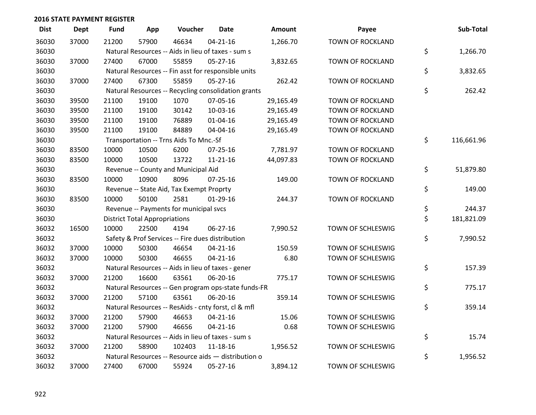| <b>Dist</b> | <b>Dept</b> | <b>Fund</b> | App                                  | Voucher                                             | <b>Date</b>    | <b>Amount</b> | Payee                   | Sub-Total        |
|-------------|-------------|-------------|--------------------------------------|-----------------------------------------------------|----------------|---------------|-------------------------|------------------|
| 36030       | 37000       | 21200       | 57900                                | 46634                                               | $04 - 21 - 16$ | 1,266.70      | <b>TOWN OF ROCKLAND</b> |                  |
| 36030       |             |             |                                      | Natural Resources -- Aids in lieu of taxes - sum s  |                |               |                         | \$<br>1,266.70   |
| 36030       | 37000       | 27400       | 67000                                | 55859                                               | $05 - 27 - 16$ | 3,832.65      | <b>TOWN OF ROCKLAND</b> |                  |
| 36030       |             |             |                                      | Natural Resources -- Fin asst for responsible units |                |               |                         | \$<br>3,832.65   |
| 36030       | 37000       | 27400       | 67300                                | 55859                                               | $05 - 27 - 16$ | 262.42        | TOWN OF ROCKLAND        |                  |
| 36030       |             |             |                                      | Natural Resources -- Recycling consolidation grants |                |               |                         | \$<br>262.42     |
| 36030       | 39500       | 21100       | 19100                                | 1070                                                | 07-05-16       | 29,165.49     | TOWN OF ROCKLAND        |                  |
| 36030       | 39500       | 21100       | 19100                                | 30142                                               | 10-03-16       | 29,165.49     | <b>TOWN OF ROCKLAND</b> |                  |
| 36030       | 39500       | 21100       | 19100                                | 76889                                               | $01 - 04 - 16$ | 29,165.49     | <b>TOWN OF ROCKLAND</b> |                  |
| 36030       | 39500       | 21100       | 19100                                | 84889                                               | 04-04-16       | 29,165.49     | TOWN OF ROCKLAND        |                  |
| 36030       |             |             |                                      | Transportation -- Trns Aids To Mnc.-Sf              |                |               |                         | \$<br>116,661.96 |
| 36030       | 83500       | 10000       | 10500                                | 6200                                                | 07-25-16       | 7,781.97      | TOWN OF ROCKLAND        |                  |
| 36030       | 83500       | 10000       | 10500                                | 13722                                               | $11 - 21 - 16$ | 44,097.83     | <b>TOWN OF ROCKLAND</b> |                  |
| 36030       |             |             |                                      | Revenue -- County and Municipal Aid                 |                |               |                         | \$<br>51,879.80  |
| 36030       | 83500       | 10000       | 10900                                | 8096                                                | $07 - 25 - 16$ | 149.00        | TOWN OF ROCKLAND        |                  |
| 36030       |             |             |                                      | Revenue -- State Aid, Tax Exempt Proprty            |                |               |                         | \$<br>149.00     |
| 36030       | 83500       | 10000       | 50100                                | 2581                                                | $01-29-16$     | 244.37        | <b>TOWN OF ROCKLAND</b> |                  |
| 36030       |             |             |                                      | Revenue -- Payments for municipal svcs              |                |               |                         | \$<br>244.37     |
| 36030       |             |             | <b>District Total Appropriations</b> |                                                     |                |               |                         | \$<br>181,821.09 |
| 36032       | 16500       | 10000       | 22500                                | 4194                                                | 06-27-16       | 7,990.52      | TOWN OF SCHLESWIG       |                  |
| 36032       |             |             |                                      | Safety & Prof Services -- Fire dues distribution    |                |               |                         | \$<br>7,990.52   |
| 36032       | 37000       | 10000       | 50300                                | 46654                                               | $04 - 21 - 16$ | 150.59        | TOWN OF SCHLESWIG       |                  |
| 36032       | 37000       | 10000       | 50300                                | 46655                                               | $04 - 21 - 16$ | 6.80          | TOWN OF SCHLESWIG       |                  |
| 36032       |             |             |                                      | Natural Resources -- Aids in lieu of taxes - gener  |                |               |                         | \$<br>157.39     |
| 36032       | 37000       | 21200       | 16600                                | 63561                                               | 06-20-16       | 775.17        | TOWN OF SCHLESWIG       |                  |
| 36032       |             |             |                                      | Natural Resources -- Gen program ops-state funds-FR |                |               |                         | \$<br>775.17     |
| 36032       | 37000       | 21200       | 57100                                | 63561                                               | 06-20-16       | 359.14        | TOWN OF SCHLESWIG       |                  |
| 36032       |             |             |                                      | Natural Resources -- ResAids - cnty forst, cl & mfl |                |               |                         | \$<br>359.14     |
| 36032       | 37000       | 21200       | 57900                                | 46653                                               | $04 - 21 - 16$ | 15.06         | TOWN OF SCHLESWIG       |                  |
| 36032       | 37000       | 21200       | 57900                                | 46656                                               | $04 - 21 - 16$ | 0.68          | TOWN OF SCHLESWIG       |                  |
| 36032       |             |             |                                      | Natural Resources -- Aids in lieu of taxes - sum s  |                |               |                         | \$<br>15.74      |
| 36032       | 37000       | 21200       | 58900                                | 102403                                              | $11 - 18 - 16$ | 1,956.52      | TOWN OF SCHLESWIG       |                  |
| 36032       |             |             |                                      | Natural Resources -- Resource aids - distribution o |                |               |                         | \$<br>1,956.52   |
| 36032       | 37000       | 27400       | 67000                                | 55924                                               | 05-27-16       | 3,894.12      | TOWN OF SCHLESWIG       |                  |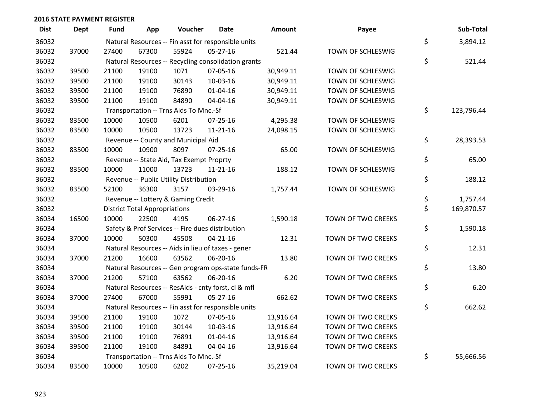| <b>Dist</b> | Dept  | Fund  | App                                  | Voucher                                             | <b>Date</b>    | <b>Amount</b> | Payee                     | Sub-Total        |
|-------------|-------|-------|--------------------------------------|-----------------------------------------------------|----------------|---------------|---------------------------|------------------|
| 36032       |       |       |                                      | Natural Resources -- Fin asst for responsible units |                |               |                           | \$<br>3,894.12   |
| 36032       | 37000 | 27400 | 67300                                | 55924                                               | 05-27-16       | 521.44        | TOWN OF SCHLESWIG         |                  |
| 36032       |       |       |                                      | Natural Resources -- Recycling consolidation grants |                |               |                           | \$<br>521.44     |
| 36032       | 39500 | 21100 | 19100                                | 1071                                                | 07-05-16       | 30,949.11     | TOWN OF SCHLESWIG         |                  |
| 36032       | 39500 | 21100 | 19100                                | 30143                                               | 10-03-16       | 30,949.11     | TOWN OF SCHLESWIG         |                  |
| 36032       | 39500 | 21100 | 19100                                | 76890                                               | 01-04-16       | 30,949.11     | TOWN OF SCHLESWIG         |                  |
| 36032       | 39500 | 21100 | 19100                                | 84890                                               | 04-04-16       | 30,949.11     | TOWN OF SCHLESWIG         |                  |
| 36032       |       |       |                                      | Transportation -- Trns Aids To Mnc.-Sf              |                |               |                           | \$<br>123,796.44 |
| 36032       | 83500 | 10000 | 10500                                | 6201                                                | $07 - 25 - 16$ | 4,295.38      | TOWN OF SCHLESWIG         |                  |
| 36032       | 83500 | 10000 | 10500                                | 13723                                               | 11-21-16       | 24,098.15     | TOWN OF SCHLESWIG         |                  |
| 36032       |       |       |                                      | Revenue -- County and Municipal Aid                 |                |               |                           | \$<br>28,393.53  |
| 36032       | 83500 | 10000 | 10900                                | 8097                                                | $07 - 25 - 16$ | 65.00         | TOWN OF SCHLESWIG         |                  |
| 36032       |       |       |                                      | Revenue -- State Aid, Tax Exempt Proprty            |                |               |                           | \$<br>65.00      |
| 36032       | 83500 | 10000 | 11000                                | 13723                                               | $11 - 21 - 16$ | 188.12        | TOWN OF SCHLESWIG         |                  |
| 36032       |       |       |                                      | Revenue -- Public Utility Distribution              |                |               |                           | \$<br>188.12     |
| 36032       | 83500 | 52100 | 36300                                | 3157                                                | 03-29-16       | 1,757.44      | TOWN OF SCHLESWIG         |                  |
| 36032       |       |       |                                      | Revenue -- Lottery & Gaming Credit                  |                |               |                           | \$<br>1,757.44   |
| 36032       |       |       | <b>District Total Appropriations</b> |                                                     |                |               |                           | \$<br>169,870.57 |
| 36034       | 16500 | 10000 | 22500                                | 4195                                                | 06-27-16       | 1,590.18      | TOWN OF TWO CREEKS        |                  |
| 36034       |       |       |                                      | Safety & Prof Services -- Fire dues distribution    |                |               |                           | \$<br>1,590.18   |
| 36034       | 37000 | 10000 | 50300                                | 45508                                               | $04 - 21 - 16$ | 12.31         | TOWN OF TWO CREEKS        |                  |
| 36034       |       |       |                                      | Natural Resources -- Aids in lieu of taxes - gener  |                |               |                           | \$<br>12.31      |
| 36034       | 37000 | 21200 | 16600                                | 63562                                               | 06-20-16       | 13.80         | TOWN OF TWO CREEKS        |                  |
| 36034       |       |       |                                      | Natural Resources -- Gen program ops-state funds-FR |                |               |                           | \$<br>13.80      |
| 36034       | 37000 | 21200 | 57100                                | 63562                                               | 06-20-16       | 6.20          | TOWN OF TWO CREEKS        |                  |
| 36034       |       |       |                                      | Natural Resources -- ResAids - cnty forst, cl & mfl |                |               |                           | \$<br>6.20       |
| 36034       | 37000 | 27400 | 67000                                | 55991                                               | 05-27-16       | 662.62        | TOWN OF TWO CREEKS        |                  |
| 36034       |       |       |                                      | Natural Resources -- Fin asst for responsible units |                |               |                           | \$<br>662.62     |
| 36034       | 39500 | 21100 | 19100                                | 1072                                                | 07-05-16       | 13,916.64     | TOWN OF TWO CREEKS        |                  |
| 36034       | 39500 | 21100 | 19100                                | 30144                                               | 10-03-16       | 13,916.64     | TOWN OF TWO CREEKS        |                  |
| 36034       | 39500 | 21100 | 19100                                | 76891                                               | 01-04-16       | 13,916.64     | TOWN OF TWO CREEKS        |                  |
| 36034       | 39500 | 21100 | 19100                                | 84891                                               | 04-04-16       | 13,916.64     | <b>TOWN OF TWO CREEKS</b> |                  |
| 36034       |       |       |                                      | Transportation -- Trns Aids To Mnc.-Sf              |                |               |                           | \$<br>55,666.56  |
| 36034       | 83500 | 10000 | 10500                                | 6202                                                | $07 - 25 - 16$ | 35,219.04     | TOWN OF TWO CREEKS        |                  |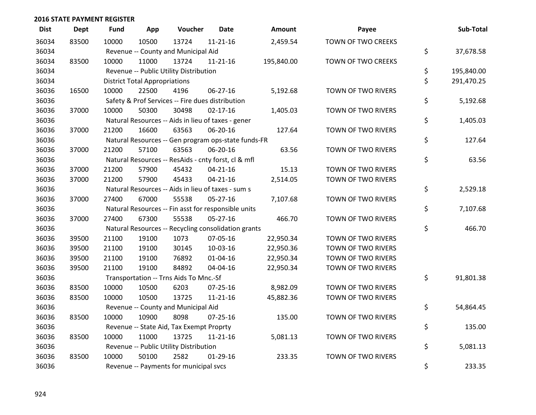| <b>Dist</b> | <b>Dept</b> | <b>Fund</b> | App                                  | Voucher                                             | <b>Date</b>    | <b>Amount</b> | Payee              | Sub-Total        |
|-------------|-------------|-------------|--------------------------------------|-----------------------------------------------------|----------------|---------------|--------------------|------------------|
| 36034       | 83500       | 10000       | 10500                                | 13724                                               | $11 - 21 - 16$ | 2,459.54      | TOWN OF TWO CREEKS |                  |
| 36034       |             |             |                                      | Revenue -- County and Municipal Aid                 |                |               |                    | \$<br>37,678.58  |
| 36034       | 83500       | 10000       | 11000                                | 13724                                               | 11-21-16       | 195,840.00    | TOWN OF TWO CREEKS |                  |
| 36034       |             |             |                                      | Revenue -- Public Utility Distribution              |                |               |                    | \$<br>195,840.00 |
| 36034       |             |             | <b>District Total Appropriations</b> |                                                     |                |               |                    | \$<br>291,470.25 |
| 36036       | 16500       | 10000       | 22500                                | 4196                                                | $06 - 27 - 16$ | 5,192.68      | TOWN OF TWO RIVERS |                  |
| 36036       |             |             |                                      | Safety & Prof Services -- Fire dues distribution    |                |               |                    | \$<br>5,192.68   |
| 36036       | 37000       | 10000       | 50300                                | 30498                                               | $02 - 17 - 16$ | 1,405.03      | TOWN OF TWO RIVERS |                  |
| 36036       |             |             |                                      | Natural Resources -- Aids in lieu of taxes - gener  |                |               |                    | \$<br>1,405.03   |
| 36036       | 37000       | 21200       | 16600                                | 63563                                               | 06-20-16       | 127.64        | TOWN OF TWO RIVERS |                  |
| 36036       |             |             |                                      | Natural Resources -- Gen program ops-state funds-FR |                |               |                    | \$<br>127.64     |
| 36036       | 37000       | 21200       | 57100                                | 63563                                               | 06-20-16       | 63.56         | TOWN OF TWO RIVERS |                  |
| 36036       |             |             |                                      | Natural Resources -- ResAids - cnty forst, cl & mfl |                |               |                    | \$<br>63.56      |
| 36036       | 37000       | 21200       | 57900                                | 45432                                               | $04 - 21 - 16$ | 15.13         | TOWN OF TWO RIVERS |                  |
| 36036       | 37000       | 21200       | 57900                                | 45433                                               | $04 - 21 - 16$ | 2,514.05      | TOWN OF TWO RIVERS |                  |
| 36036       |             |             |                                      | Natural Resources -- Aids in lieu of taxes - sum s  |                |               |                    | \$<br>2,529.18   |
| 36036       | 37000       | 27400       | 67000                                | 55538                                               | 05-27-16       | 7,107.68      | TOWN OF TWO RIVERS |                  |
| 36036       |             |             |                                      | Natural Resources -- Fin asst for responsible units |                |               |                    | \$<br>7,107.68   |
| 36036       | 37000       | 27400       | 67300                                | 55538                                               | $05 - 27 - 16$ | 466.70        | TOWN OF TWO RIVERS |                  |
| 36036       |             |             |                                      | Natural Resources -- Recycling consolidation grants |                |               |                    | \$<br>466.70     |
| 36036       | 39500       | 21100       | 19100                                | 1073                                                | 07-05-16       | 22,950.34     | TOWN OF TWO RIVERS |                  |
| 36036       | 39500       | 21100       | 19100                                | 30145                                               | 10-03-16       | 22,950.36     | TOWN OF TWO RIVERS |                  |
| 36036       | 39500       | 21100       | 19100                                | 76892                                               | $01 - 04 - 16$ | 22,950.34     | TOWN OF TWO RIVERS |                  |
| 36036       | 39500       | 21100       | 19100                                | 84892                                               | 04-04-16       | 22,950.34     | TOWN OF TWO RIVERS |                  |
| 36036       |             |             |                                      | Transportation -- Trns Aids To Mnc.-Sf              |                |               |                    | \$<br>91,801.38  |
| 36036       | 83500       | 10000       | 10500                                | 6203                                                | 07-25-16       | 8,982.09      | TOWN OF TWO RIVERS |                  |
| 36036       | 83500       | 10000       | 10500                                | 13725                                               | $11 - 21 - 16$ | 45,882.36     | TOWN OF TWO RIVERS |                  |
| 36036       |             |             |                                      | Revenue -- County and Municipal Aid                 |                |               |                    | \$<br>54,864.45  |
| 36036       | 83500       | 10000       | 10900                                | 8098                                                | $07 - 25 - 16$ | 135.00        | TOWN OF TWO RIVERS |                  |
| 36036       |             |             |                                      | Revenue -- State Aid, Tax Exempt Proprty            |                |               |                    | \$<br>135.00     |
| 36036       | 83500       | 10000       | 11000                                | 13725                                               | 11-21-16       | 5,081.13      | TOWN OF TWO RIVERS |                  |
| 36036       |             |             |                                      | Revenue -- Public Utility Distribution              |                |               |                    | \$<br>5,081.13   |
| 36036       | 83500       | 10000       | 50100                                | 2582                                                | $01-29-16$     | 233.35        | TOWN OF TWO RIVERS |                  |
| 36036       |             |             |                                      | Revenue -- Payments for municipal svcs              |                |               |                    | \$<br>233.35     |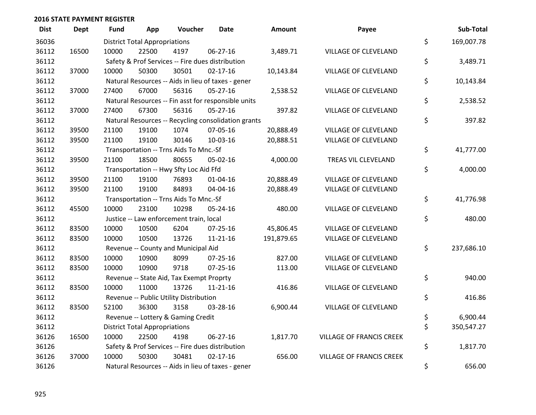| <b>Dist</b> | <b>Dept</b> | <b>Fund</b> | App                                  | Voucher                                          | <b>Date</b>                                         | Amount     | Payee                           | Sub-Total        |
|-------------|-------------|-------------|--------------------------------------|--------------------------------------------------|-----------------------------------------------------|------------|---------------------------------|------------------|
| 36036       |             |             | <b>District Total Appropriations</b> |                                                  |                                                     |            |                                 | \$<br>169,007.78 |
| 36112       | 16500       | 10000       | 22500                                | 4197                                             | 06-27-16                                            | 3,489.71   | VILLAGE OF CLEVELAND            |                  |
| 36112       |             |             |                                      | Safety & Prof Services -- Fire dues distribution |                                                     |            |                                 | \$<br>3,489.71   |
| 36112       | 37000       | 10000       | 50300                                | 30501                                            | $02 - 17 - 16$                                      | 10,143.84  | <b>VILLAGE OF CLEVELAND</b>     |                  |
| 36112       |             |             |                                      |                                                  | Natural Resources -- Aids in lieu of taxes - gener  |            |                                 | \$<br>10,143.84  |
| 36112       | 37000       | 27400       | 67000                                | 56316                                            | $05 - 27 - 16$                                      | 2,538.52   | VILLAGE OF CLEVELAND            |                  |
| 36112       |             |             |                                      |                                                  | Natural Resources -- Fin asst for responsible units |            |                                 | \$<br>2,538.52   |
| 36112       | 37000       | 27400       | 67300                                | 56316                                            | $05 - 27 - 16$                                      | 397.82     | <b>VILLAGE OF CLEVELAND</b>     |                  |
| 36112       |             |             |                                      |                                                  | Natural Resources -- Recycling consolidation grants |            |                                 | \$<br>397.82     |
| 36112       | 39500       | 21100       | 19100                                | 1074                                             | 07-05-16                                            | 20,888.49  | VILLAGE OF CLEVELAND            |                  |
| 36112       | 39500       | 21100       | 19100                                | 30146                                            | 10-03-16                                            | 20,888.51  | VILLAGE OF CLEVELAND            |                  |
| 36112       |             |             |                                      | Transportation -- Trns Aids To Mnc.-Sf           |                                                     |            |                                 | \$<br>41,777.00  |
| 36112       | 39500       | 21100       | 18500                                | 80655                                            | 05-02-16                                            | 4,000.00   | TREAS VIL CLEVELAND             |                  |
| 36112       |             |             |                                      | Transportation -- Hwy Sfty Loc Aid Ffd           |                                                     |            |                                 | \$<br>4,000.00   |
| 36112       | 39500       | 21100       | 19100                                | 76893                                            | $01 - 04 - 16$                                      | 20,888.49  | <b>VILLAGE OF CLEVELAND</b>     |                  |
| 36112       | 39500       | 21100       | 19100                                | 84893                                            | 04-04-16                                            | 20,888.49  | VILLAGE OF CLEVELAND            |                  |
| 36112       |             |             |                                      | Transportation -- Trns Aids To Mnc.-Sf           |                                                     |            |                                 | \$<br>41,776.98  |
| 36112       | 45500       | 10000       | 23100                                | 10298                                            | 05-24-16                                            | 480.00     | <b>VILLAGE OF CLEVELAND</b>     |                  |
| 36112       |             |             |                                      | Justice -- Law enforcement train, local          |                                                     |            |                                 | \$<br>480.00     |
| 36112       | 83500       | 10000       | 10500                                | 6204                                             | 07-25-16                                            | 45,806.45  | <b>VILLAGE OF CLEVELAND</b>     |                  |
| 36112       | 83500       | 10000       | 10500                                | 13726                                            | $11 - 21 - 16$                                      | 191,879.65 | VILLAGE OF CLEVELAND            |                  |
| 36112       |             |             |                                      | Revenue -- County and Municipal Aid              |                                                     |            |                                 | \$<br>237,686.10 |
| 36112       | 83500       | 10000       | 10900                                | 8099                                             | $07 - 25 - 16$                                      | 827.00     | <b>VILLAGE OF CLEVELAND</b>     |                  |
| 36112       | 83500       | 10000       | 10900                                | 9718                                             | $07 - 25 - 16$                                      | 113.00     | <b>VILLAGE OF CLEVELAND</b>     |                  |
| 36112       |             |             |                                      | Revenue -- State Aid, Tax Exempt Proprty         |                                                     |            |                                 | \$<br>940.00     |
| 36112       | 83500       | 10000       | 11000                                | 13726                                            | 11-21-16                                            | 416.86     | VILLAGE OF CLEVELAND            |                  |
| 36112       |             |             |                                      | Revenue -- Public Utility Distribution           |                                                     |            |                                 | \$<br>416.86     |
| 36112       | 83500       | 52100       | 36300                                | 3158                                             | 03-28-16                                            | 6,900.44   | <b>VILLAGE OF CLEVELAND</b>     |                  |
| 36112       |             |             |                                      | Revenue -- Lottery & Gaming Credit               |                                                     |            |                                 | \$<br>6,900.44   |
| 36112       |             |             | <b>District Total Appropriations</b> |                                                  |                                                     |            |                                 | \$<br>350,547.27 |
| 36126       | 16500       | 10000       | 22500                                | 4198                                             | 06-27-16                                            | 1,817.70   | <b>VILLAGE OF FRANCIS CREEK</b> |                  |
| 36126       |             |             |                                      | Safety & Prof Services -- Fire dues distribution |                                                     |            |                                 | \$<br>1,817.70   |
| 36126       | 37000       | 10000       | 50300                                | 30481                                            | $02 - 17 - 16$                                      | 656.00     | <b>VILLAGE OF FRANCIS CREEK</b> |                  |
| 36126       |             |             |                                      |                                                  | Natural Resources -- Aids in lieu of taxes - gener  |            |                                 | \$<br>656.00     |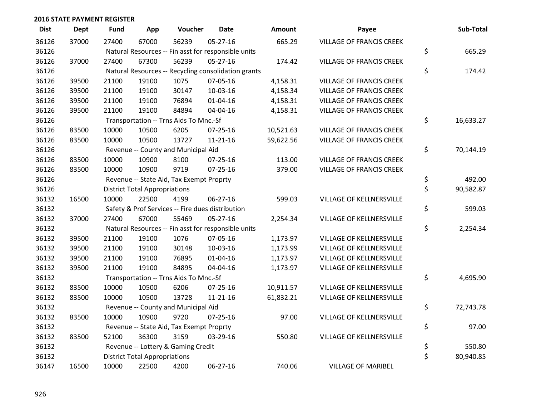| <b>Dist</b> | Dept  | <b>Fund</b> | App                                  | Voucher                                             | <b>Date</b>    | <b>Amount</b> | Payee                           | Sub-Total       |
|-------------|-------|-------------|--------------------------------------|-----------------------------------------------------|----------------|---------------|---------------------------------|-----------------|
| 36126       | 37000 | 27400       | 67000                                | 56239                                               | $05 - 27 - 16$ | 665.29        | <b>VILLAGE OF FRANCIS CREEK</b> |                 |
| 36126       |       |             |                                      | Natural Resources -- Fin asst for responsible units |                |               |                                 | \$<br>665.29    |
| 36126       | 37000 | 27400       | 67300                                | 56239                                               | 05-27-16       | 174.42        | <b>VILLAGE OF FRANCIS CREEK</b> |                 |
| 36126       |       |             |                                      | Natural Resources -- Recycling consolidation grants |                |               |                                 | \$<br>174.42    |
| 36126       | 39500 | 21100       | 19100                                | 1075                                                | 07-05-16       | 4,158.31      | <b>VILLAGE OF FRANCIS CREEK</b> |                 |
| 36126       | 39500 | 21100       | 19100                                | 30147                                               | 10-03-16       | 4,158.34      | <b>VILLAGE OF FRANCIS CREEK</b> |                 |
| 36126       | 39500 | 21100       | 19100                                | 76894                                               | $01 - 04 - 16$ | 4,158.31      | <b>VILLAGE OF FRANCIS CREEK</b> |                 |
| 36126       | 39500 | 21100       | 19100                                | 84894                                               | 04-04-16       | 4,158.31      | <b>VILLAGE OF FRANCIS CREEK</b> |                 |
| 36126       |       |             |                                      | Transportation -- Trns Aids To Mnc.-Sf              |                |               |                                 | \$<br>16,633.27 |
| 36126       | 83500 | 10000       | 10500                                | 6205                                                | 07-25-16       | 10,521.63     | <b>VILLAGE OF FRANCIS CREEK</b> |                 |
| 36126       | 83500 | 10000       | 10500                                | 13727                                               | $11 - 21 - 16$ | 59,622.56     | <b>VILLAGE OF FRANCIS CREEK</b> |                 |
| 36126       |       |             |                                      | Revenue -- County and Municipal Aid                 |                |               |                                 | \$<br>70,144.19 |
| 36126       | 83500 | 10000       | 10900                                | 8100                                                | $07 - 25 - 16$ | 113.00        | <b>VILLAGE OF FRANCIS CREEK</b> |                 |
| 36126       | 83500 | 10000       | 10900                                | 9719                                                | $07 - 25 - 16$ | 379.00        | <b>VILLAGE OF FRANCIS CREEK</b> |                 |
| 36126       |       |             |                                      | Revenue -- State Aid, Tax Exempt Proprty            |                |               |                                 | \$<br>492.00    |
| 36126       |       |             | <b>District Total Appropriations</b> |                                                     |                |               |                                 | \$<br>90,582.87 |
| 36132       | 16500 | 10000       | 22500                                | 4199                                                | 06-27-16       | 599.03        | VILLAGE OF KELLNERSVILLE        |                 |
| 36132       |       |             |                                      | Safety & Prof Services -- Fire dues distribution    |                |               |                                 | \$<br>599.03    |
| 36132       | 37000 | 27400       | 67000                                | 55469                                               | $05 - 27 - 16$ | 2,254.34      | VILLAGE OF KELLNERSVILLE        |                 |
| 36132       |       |             |                                      | Natural Resources -- Fin asst for responsible units |                |               |                                 | \$<br>2,254.34  |
| 36132       | 39500 | 21100       | 19100                                | 1076                                                | 07-05-16       | 1,173.97      | VILLAGE OF KELLNERSVILLE        |                 |
| 36132       | 39500 | 21100       | 19100                                | 30148                                               | 10-03-16       | 1,173.99      | VILLAGE OF KELLNERSVILLE        |                 |
| 36132       | 39500 | 21100       | 19100                                | 76895                                               | $01 - 04 - 16$ | 1,173.97      | VILLAGE OF KELLNERSVILLE        |                 |
| 36132       | 39500 | 21100       | 19100                                | 84895                                               | 04-04-16       | 1,173.97      | VILLAGE OF KELLNERSVILLE        |                 |
| 36132       |       |             |                                      | Transportation -- Trns Aids To Mnc.-Sf              |                |               |                                 | \$<br>4,695.90  |
| 36132       | 83500 | 10000       | 10500                                | 6206                                                | $07 - 25 - 16$ | 10,911.57     | VILLAGE OF KELLNERSVILLE        |                 |
| 36132       | 83500 | 10000       | 10500                                | 13728                                               | $11 - 21 - 16$ | 61,832.21     | VILLAGE OF KELLNERSVILLE        |                 |
| 36132       |       |             |                                      | Revenue -- County and Municipal Aid                 |                |               |                                 | \$<br>72,743.78 |
| 36132       | 83500 | 10000       | 10900                                | 9720                                                | $07 - 25 - 16$ | 97.00         | VILLAGE OF KELLNERSVILLE        |                 |
| 36132       |       |             |                                      | Revenue -- State Aid, Tax Exempt Proprty            |                |               |                                 | \$<br>97.00     |
| 36132       | 83500 | 52100       | 36300                                | 3159                                                | 03-29-16       | 550.80        | VILLAGE OF KELLNERSVILLE        |                 |
| 36132       |       |             |                                      | Revenue -- Lottery & Gaming Credit                  |                |               |                                 | \$<br>550.80    |
| 36132       |       |             | <b>District Total Appropriations</b> |                                                     |                |               |                                 | \$<br>80,940.85 |
| 36147       | 16500 | 10000       | 22500                                | 4200                                                | 06-27-16       | 740.06        | <b>VILLAGE OF MARIBEL</b>       |                 |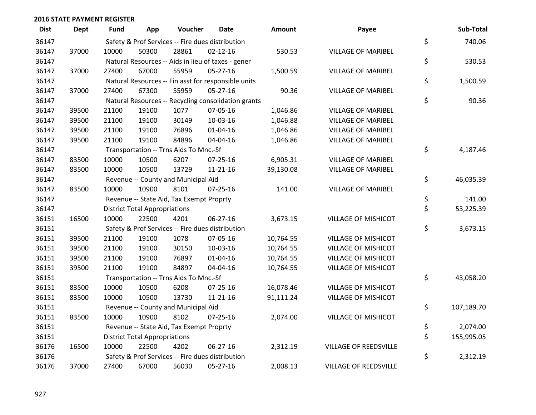| <b>Dist</b> | <b>Dept</b> | Fund  | App                                  | Voucher                                  | <b>Date</b>                                         | <b>Amount</b> | Payee                        | Sub-Total        |
|-------------|-------------|-------|--------------------------------------|------------------------------------------|-----------------------------------------------------|---------------|------------------------------|------------------|
| 36147       |             |       |                                      |                                          | Safety & Prof Services -- Fire dues distribution    |               |                              | \$<br>740.06     |
| 36147       | 37000       | 10000 | 50300                                | 28861                                    | $02 - 12 - 16$                                      | 530.53        | <b>VILLAGE OF MARIBEL</b>    |                  |
| 36147       |             |       |                                      |                                          | Natural Resources -- Aids in lieu of taxes - gener  |               |                              | \$<br>530.53     |
| 36147       | 37000       | 27400 | 67000                                | 55959                                    | 05-27-16                                            | 1,500.59      | <b>VILLAGE OF MARIBEL</b>    |                  |
| 36147       |             |       |                                      |                                          | Natural Resources -- Fin asst for responsible units |               |                              | \$<br>1,500.59   |
| 36147       | 37000       | 27400 | 67300                                | 55959                                    | $05 - 27 - 16$                                      | 90.36         | <b>VILLAGE OF MARIBEL</b>    |                  |
| 36147       |             |       |                                      |                                          | Natural Resources -- Recycling consolidation grants |               |                              | \$<br>90.36      |
| 36147       | 39500       | 21100 | 19100                                | 1077                                     | 07-05-16                                            | 1,046.86      | <b>VILLAGE OF MARIBEL</b>    |                  |
| 36147       | 39500       | 21100 | 19100                                | 30149                                    | 10-03-16                                            | 1,046.88      | <b>VILLAGE OF MARIBEL</b>    |                  |
| 36147       | 39500       | 21100 | 19100                                | 76896                                    | $01 - 04 - 16$                                      | 1,046.86      | <b>VILLAGE OF MARIBEL</b>    |                  |
| 36147       | 39500       | 21100 | 19100                                | 84896                                    | 04-04-16                                            | 1,046.86      | <b>VILLAGE OF MARIBEL</b>    |                  |
| 36147       |             |       |                                      | Transportation -- Trns Aids To Mnc.-Sf   |                                                     |               |                              | \$<br>4,187.46   |
| 36147       | 83500       | 10000 | 10500                                | 6207                                     | $07 - 25 - 16$                                      | 6,905.31      | <b>VILLAGE OF MARIBEL</b>    |                  |
| 36147       | 83500       | 10000 | 10500                                | 13729                                    | $11 - 21 - 16$                                      | 39,130.08     | <b>VILLAGE OF MARIBEL</b>    |                  |
| 36147       |             |       |                                      | Revenue -- County and Municipal Aid      |                                                     |               |                              | \$<br>46,035.39  |
| 36147       | 83500       | 10000 | 10900                                | 8101                                     | $07 - 25 - 16$                                      | 141.00        | <b>VILLAGE OF MARIBEL</b>    |                  |
| 36147       |             |       |                                      | Revenue -- State Aid, Tax Exempt Proprty |                                                     |               |                              | \$<br>141.00     |
| 36147       |             |       | <b>District Total Appropriations</b> |                                          |                                                     |               |                              | \$<br>53,225.39  |
| 36151       | 16500       | 10000 | 22500                                | 4201                                     | 06-27-16                                            | 3,673.15      | <b>VILLAGE OF MISHICOT</b>   |                  |
| 36151       |             |       |                                      |                                          | Safety & Prof Services -- Fire dues distribution    |               |                              | \$<br>3,673.15   |
| 36151       | 39500       | 21100 | 19100                                | 1078                                     | 07-05-16                                            | 10,764.55     | <b>VILLAGE OF MISHICOT</b>   |                  |
| 36151       | 39500       | 21100 | 19100                                | 30150                                    | 10-03-16                                            | 10,764.55     | <b>VILLAGE OF MISHICOT</b>   |                  |
| 36151       | 39500       | 21100 | 19100                                | 76897                                    | $01 - 04 - 16$                                      | 10,764.55     | <b>VILLAGE OF MISHICOT</b>   |                  |
| 36151       | 39500       | 21100 | 19100                                | 84897                                    | 04-04-16                                            | 10,764.55     | <b>VILLAGE OF MISHICOT</b>   |                  |
| 36151       |             |       |                                      | Transportation -- Trns Aids To Mnc.-Sf   |                                                     |               |                              | \$<br>43,058.20  |
| 36151       | 83500       | 10000 | 10500                                | 6208                                     | $07 - 25 - 16$                                      | 16,078.46     | <b>VILLAGE OF MISHICOT</b>   |                  |
| 36151       | 83500       | 10000 | 10500                                | 13730                                    | $11 - 21 - 16$                                      | 91,111.24     | <b>VILLAGE OF MISHICOT</b>   |                  |
| 36151       |             |       |                                      | Revenue -- County and Municipal Aid      |                                                     |               |                              | \$<br>107,189.70 |
| 36151       | 83500       | 10000 | 10900                                | 8102                                     | $07 - 25 - 16$                                      | 2,074.00      | <b>VILLAGE OF MISHICOT</b>   |                  |
| 36151       |             |       |                                      | Revenue -- State Aid, Tax Exempt Proprty |                                                     |               |                              | \$<br>2,074.00   |
| 36151       |             |       | <b>District Total Appropriations</b> |                                          |                                                     |               |                              | \$<br>155,995.05 |
| 36176       | 16500       | 10000 | 22500                                | 4202                                     | 06-27-16                                            | 2,312.19      | VILLAGE OF REEDSVILLE        |                  |
| 36176       |             |       |                                      |                                          | Safety & Prof Services -- Fire dues distribution    |               |                              | \$<br>2,312.19   |
| 36176       | 37000       | 27400 | 67000                                | 56030                                    | 05-27-16                                            | 2,008.13      | <b>VILLAGE OF REEDSVILLE</b> |                  |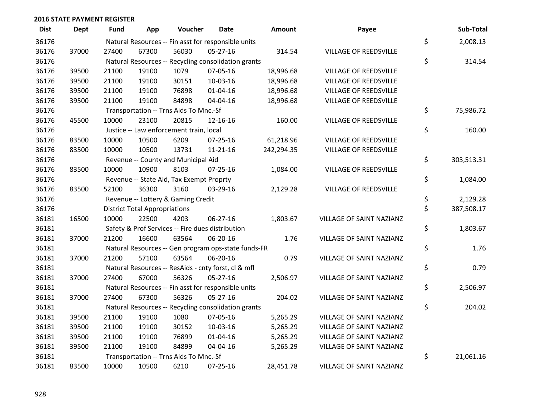| <b>Dist</b> | <b>Dept</b> | Fund  | App                                  | Voucher                                             | <b>Date</b>    | <b>Amount</b> | Payee                        | Sub-Total        |
|-------------|-------------|-------|--------------------------------------|-----------------------------------------------------|----------------|---------------|------------------------------|------------------|
| 36176       |             |       |                                      | Natural Resources -- Fin asst for responsible units |                |               |                              | \$<br>2,008.13   |
| 36176       | 37000       | 27400 | 67300                                | 56030                                               | 05-27-16       | 314.54        | VILLAGE OF REEDSVILLE        |                  |
| 36176       |             |       |                                      | Natural Resources -- Recycling consolidation grants |                |               |                              | \$<br>314.54     |
| 36176       | 39500       | 21100 | 19100                                | 1079                                                | 07-05-16       | 18,996.68     | <b>VILLAGE OF REEDSVILLE</b> |                  |
| 36176       | 39500       | 21100 | 19100                                | 30151                                               | 10-03-16       | 18,996.68     | <b>VILLAGE OF REEDSVILLE</b> |                  |
| 36176       | 39500       | 21100 | 19100                                | 76898                                               | $01 - 04 - 16$ | 18,996.68     | <b>VILLAGE OF REEDSVILLE</b> |                  |
| 36176       | 39500       | 21100 | 19100                                | 84898                                               | 04-04-16       | 18,996.68     | <b>VILLAGE OF REEDSVILLE</b> |                  |
| 36176       |             |       |                                      | Transportation -- Trns Aids To Mnc.-Sf              |                |               |                              | \$<br>75,986.72  |
| 36176       | 45500       | 10000 | 23100                                | 20815                                               | 12-16-16       | 160.00        | VILLAGE OF REEDSVILLE        |                  |
| 36176       |             |       |                                      | Justice -- Law enforcement train, local             |                |               |                              | \$<br>160.00     |
| 36176       | 83500       | 10000 | 10500                                | 6209                                                | 07-25-16       | 61,218.96     | VILLAGE OF REEDSVILLE        |                  |
| 36176       | 83500       | 10000 | 10500                                | 13731                                               | $11 - 21 - 16$ | 242,294.35    | VILLAGE OF REEDSVILLE        |                  |
| 36176       |             |       |                                      | Revenue -- County and Municipal Aid                 |                |               |                              | \$<br>303,513.31 |
| 36176       | 83500       | 10000 | 10900                                | 8103                                                | $07 - 25 - 16$ | 1,084.00      | VILLAGE OF REEDSVILLE        |                  |
| 36176       |             |       |                                      | Revenue -- State Aid, Tax Exempt Proprty            |                |               |                              | \$<br>1,084.00   |
| 36176       | 83500       | 52100 | 36300                                | 3160                                                | 03-29-16       | 2,129.28      | <b>VILLAGE OF REEDSVILLE</b> |                  |
| 36176       |             |       |                                      | Revenue -- Lottery & Gaming Credit                  |                |               |                              | \$<br>2,129.28   |
| 36176       |             |       | <b>District Total Appropriations</b> |                                                     |                |               |                              | \$<br>387,508.17 |
| 36181       | 16500       | 10000 | 22500                                | 4203                                                | 06-27-16       | 1,803.67      | VILLAGE OF SAINT NAZIANZ     |                  |
| 36181       |             |       |                                      | Safety & Prof Services -- Fire dues distribution    |                |               |                              | \$<br>1,803.67   |
| 36181       | 37000       | 21200 | 16600                                | 63564                                               | 06-20-16       | 1.76          | VILLAGE OF SAINT NAZIANZ     |                  |
| 36181       |             |       |                                      | Natural Resources -- Gen program ops-state funds-FR |                |               |                              | \$<br>1.76       |
| 36181       | 37000       | 21200 | 57100                                | 63564                                               | 06-20-16       | 0.79          | VILLAGE OF SAINT NAZIANZ     |                  |
| 36181       |             |       |                                      | Natural Resources -- ResAids - cnty forst, cl & mfl |                |               |                              | \$<br>0.79       |
| 36181       | 37000       | 27400 | 67000                                | 56326                                               | $05 - 27 - 16$ | 2,506.97      | VILLAGE OF SAINT NAZIANZ     |                  |
| 36181       |             |       |                                      | Natural Resources -- Fin asst for responsible units |                |               |                              | \$<br>2,506.97   |
| 36181       | 37000       | 27400 | 67300                                | 56326                                               | 05-27-16       | 204.02        | VILLAGE OF SAINT NAZIANZ     |                  |
| 36181       |             |       |                                      | Natural Resources -- Recycling consolidation grants |                |               |                              | \$<br>204.02     |
| 36181       | 39500       | 21100 | 19100                                | 1080                                                | 07-05-16       | 5,265.29      | VILLAGE OF SAINT NAZIANZ     |                  |
| 36181       | 39500       | 21100 | 19100                                | 30152                                               | 10-03-16       | 5,265.29      | VILLAGE OF SAINT NAZIANZ     |                  |
| 36181       | 39500       | 21100 | 19100                                | 76899                                               | $01 - 04 - 16$ | 5,265.29      | VILLAGE OF SAINT NAZIANZ     |                  |
| 36181       | 39500       | 21100 | 19100                                | 84899                                               | 04-04-16       | 5,265.29      | VILLAGE OF SAINT NAZIANZ     |                  |
| 36181       |             |       |                                      | Transportation -- Trns Aids To Mnc.-Sf              |                |               |                              | \$<br>21,061.16  |
| 36181       | 83500       | 10000 | 10500                                | 6210                                                | 07-25-16       | 28,451.78     | VILLAGE OF SAINT NAZIANZ     |                  |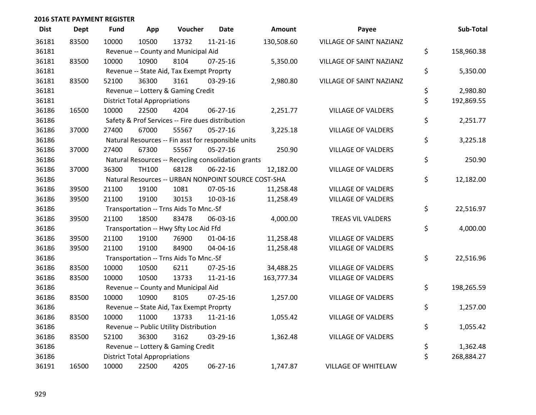| <b>Dist</b> | Dept  | <b>Fund</b> | App                                  | Voucher                                             | <b>Date</b>    | Amount                                              | Payee                      | Sub-Total        |
|-------------|-------|-------------|--------------------------------------|-----------------------------------------------------|----------------|-----------------------------------------------------|----------------------------|------------------|
| 36181       | 83500 | 10000       | 10500                                | 13732                                               | $11 - 21 - 16$ | 130,508.60                                          | VILLAGE OF SAINT NAZIANZ   |                  |
| 36181       |       |             |                                      | Revenue -- County and Municipal Aid                 |                |                                                     |                            | \$<br>158,960.38 |
| 36181       | 83500 | 10000       | 10900                                | 8104                                                | $07 - 25 - 16$ | 5,350.00                                            | VILLAGE OF SAINT NAZIANZ   |                  |
| 36181       |       |             |                                      | Revenue -- State Aid, Tax Exempt Proprty            |                |                                                     |                            | \$<br>5,350.00   |
| 36181       | 83500 | 52100       | 36300                                | 3161                                                | 03-29-16       | 2,980.80                                            | VILLAGE OF SAINT NAZIANZ   |                  |
| 36181       |       |             |                                      | Revenue -- Lottery & Gaming Credit                  |                |                                                     |                            | \$<br>2,980.80   |
| 36181       |       |             | <b>District Total Appropriations</b> |                                                     |                |                                                     |                            | \$<br>192,869.55 |
| 36186       | 16500 | 10000       | 22500                                | 4204                                                | $06 - 27 - 16$ | 2,251.77                                            | <b>VILLAGE OF VALDERS</b>  |                  |
| 36186       |       |             |                                      | Safety & Prof Services -- Fire dues distribution    |                |                                                     |                            | \$<br>2,251.77   |
| 36186       | 37000 | 27400       | 67000                                | 55567                                               | $05 - 27 - 16$ | 3,225.18                                            | <b>VILLAGE OF VALDERS</b>  |                  |
| 36186       |       |             |                                      | Natural Resources -- Fin asst for responsible units |                |                                                     |                            | \$<br>3,225.18   |
| 36186       | 37000 | 27400       | 67300                                | 55567                                               | 05-27-16       | 250.90                                              | VILLAGE OF VALDERS         |                  |
| 36186       |       |             |                                      | Natural Resources -- Recycling consolidation grants |                |                                                     |                            | \$<br>250.90     |
| 36186       | 37000 | 36300       | TH100                                | 68128                                               | 06-22-16       | 12,182.00                                           | <b>VILLAGE OF VALDERS</b>  |                  |
| 36186       |       |             |                                      |                                                     |                | Natural Resources -- URBAN NONPOINT SOURCE COST-SHA |                            | \$<br>12,182.00  |
| 36186       | 39500 | 21100       | 19100                                | 1081                                                | 07-05-16       | 11,258.48                                           | <b>VILLAGE OF VALDERS</b>  |                  |
| 36186       | 39500 | 21100       | 19100                                | 30153                                               | 10-03-16       | 11,258.49                                           | <b>VILLAGE OF VALDERS</b>  |                  |
| 36186       |       |             |                                      | Transportation -- Trns Aids To Mnc.-Sf              |                |                                                     |                            | \$<br>22,516.97  |
| 36186       | 39500 | 21100       | 18500                                | 83478                                               | 06-03-16       | 4,000.00                                            | TREAS VIL VALDERS          |                  |
| 36186       |       |             |                                      | Transportation -- Hwy Sfty Loc Aid Ffd              |                |                                                     |                            | \$<br>4,000.00   |
| 36186       | 39500 | 21100       | 19100                                | 76900                                               | $01 - 04 - 16$ | 11,258.48                                           | <b>VILLAGE OF VALDERS</b>  |                  |
| 36186       | 39500 | 21100       | 19100                                | 84900                                               | 04-04-16       | 11,258.48                                           | <b>VILLAGE OF VALDERS</b>  |                  |
| 36186       |       |             |                                      | Transportation -- Trns Aids To Mnc.-Sf              |                |                                                     |                            | \$<br>22,516.96  |
| 36186       | 83500 | 10000       | 10500                                | 6211                                                | 07-25-16       | 34,488.25                                           | <b>VILLAGE OF VALDERS</b>  |                  |
| 36186       | 83500 | 10000       | 10500                                | 13733                                               | $11 - 21 - 16$ | 163,777.34                                          | <b>VILLAGE OF VALDERS</b>  |                  |
| 36186       |       |             |                                      | Revenue -- County and Municipal Aid                 |                |                                                     |                            | \$<br>198,265.59 |
| 36186       | 83500 | 10000       | 10900                                | 8105                                                | $07 - 25 - 16$ | 1,257.00                                            | <b>VILLAGE OF VALDERS</b>  |                  |
| 36186       |       |             |                                      | Revenue -- State Aid, Tax Exempt Proprty            |                |                                                     |                            | \$<br>1,257.00   |
| 36186       | 83500 | 10000       | 11000                                | 13733                                               | $11 - 21 - 16$ | 1,055.42                                            | <b>VILLAGE OF VALDERS</b>  |                  |
| 36186       |       |             |                                      | Revenue -- Public Utility Distribution              |                |                                                     |                            | \$<br>1,055.42   |
| 36186       | 83500 | 52100       | 36300                                | 3162                                                | 03-29-16       | 1,362.48                                            | <b>VILLAGE OF VALDERS</b>  |                  |
| 36186       |       |             |                                      | Revenue -- Lottery & Gaming Credit                  |                |                                                     |                            | \$<br>1,362.48   |
| 36186       |       |             | <b>District Total Appropriations</b> |                                                     |                |                                                     |                            | \$<br>268,884.27 |
| 36191       | 16500 | 10000       | 22500                                | 4205                                                | 06-27-16       | 1,747.87                                            | <b>VILLAGE OF WHITELAW</b> |                  |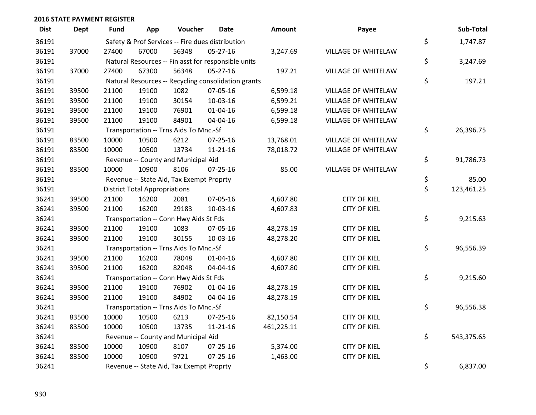| <b>Dist</b> | <b>Dept</b> | <b>Fund</b>                                      | App                                  | Voucher                                  | <b>Date</b>                                         | <b>Amount</b> | Payee                      | Sub-Total        |
|-------------|-------------|--------------------------------------------------|--------------------------------------|------------------------------------------|-----------------------------------------------------|---------------|----------------------------|------------------|
| 36191       |             | Safety & Prof Services -- Fire dues distribution | \$<br>1,747.87                       |                                          |                                                     |               |                            |                  |
| 36191       | 37000       | 27400                                            | 67000                                | 56348                                    | 05-27-16                                            | 3,247.69      | VILLAGE OF WHITELAW        |                  |
| 36191       |             |                                                  |                                      |                                          | Natural Resources -- Fin asst for responsible units |               |                            | \$<br>3,247.69   |
| 36191       | 37000       | 27400                                            | 67300                                | 56348                                    | 05-27-16                                            | 197.21        | <b>VILLAGE OF WHITELAW</b> |                  |
| 36191       |             |                                                  |                                      |                                          | Natural Resources -- Recycling consolidation grants |               |                            | \$<br>197.21     |
| 36191       | 39500       | 21100                                            | 19100                                | 1082                                     | 07-05-16                                            | 6,599.18      | VILLAGE OF WHITELAW        |                  |
| 36191       | 39500       | 21100                                            | 19100                                | 30154                                    | 10-03-16                                            | 6,599.21      | <b>VILLAGE OF WHITELAW</b> |                  |
| 36191       | 39500       | 21100                                            | 19100                                | 76901                                    | $01 - 04 - 16$                                      | 6,599.18      | <b>VILLAGE OF WHITELAW</b> |                  |
| 36191       | 39500       | 21100                                            | 19100                                | 84901                                    | 04-04-16                                            | 6,599.18      | VILLAGE OF WHITELAW        |                  |
| 36191       |             |                                                  |                                      | Transportation -- Trns Aids To Mnc.-Sf   |                                                     |               |                            | \$<br>26,396.75  |
| 36191       | 83500       | 10000                                            | 10500                                | 6212                                     | $07 - 25 - 16$                                      | 13,768.01     | VILLAGE OF WHITELAW        |                  |
| 36191       | 83500       | 10000                                            | 10500                                | 13734                                    | $11 - 21 - 16$                                      | 78,018.72     | VILLAGE OF WHITELAW        |                  |
| 36191       |             |                                                  |                                      | Revenue -- County and Municipal Aid      |                                                     |               |                            | \$<br>91,786.73  |
| 36191       | 83500       | 10000                                            | 10900                                | 8106                                     | 07-25-16                                            | 85.00         | VILLAGE OF WHITELAW        |                  |
| 36191       |             |                                                  |                                      | Revenue -- State Aid, Tax Exempt Proprty |                                                     |               |                            | \$<br>85.00      |
| 36191       |             |                                                  | <b>District Total Appropriations</b> |                                          |                                                     |               |                            | \$<br>123,461.25 |
| 36241       | 39500       | 21100                                            | 16200                                | 2081                                     | 07-05-16                                            | 4,607.80      | <b>CITY OF KIEL</b>        |                  |
| 36241       | 39500       | 21100                                            | 16200                                | 29183                                    | 10-03-16                                            | 4,607.83      | <b>CITY OF KIEL</b>        |                  |
| 36241       |             |                                                  |                                      | Transportation -- Conn Hwy Aids St Fds   |                                                     |               |                            | \$<br>9,215.63   |
| 36241       | 39500       | 21100                                            | 19100                                | 1083                                     | 07-05-16                                            | 48,278.19     | <b>CITY OF KIEL</b>        |                  |
| 36241       | 39500       | 21100                                            | 19100                                | 30155                                    | 10-03-16                                            | 48,278.20     | <b>CITY OF KIEL</b>        |                  |
| 36241       |             |                                                  |                                      | Transportation -- Trns Aids To Mnc.-Sf   |                                                     |               |                            | \$<br>96,556.39  |
| 36241       | 39500       | 21100                                            | 16200                                | 78048                                    | $01 - 04 - 16$                                      | 4,607.80      | <b>CITY OF KIEL</b>        |                  |
| 36241       | 39500       | 21100                                            | 16200                                | 82048                                    | 04-04-16                                            | 4,607.80      | <b>CITY OF KIEL</b>        |                  |
| 36241       |             |                                                  |                                      | Transportation -- Conn Hwy Aids St Fds   |                                                     |               |                            | \$<br>9,215.60   |
| 36241       | 39500       | 21100                                            | 19100                                | 76902                                    | $01 - 04 - 16$                                      | 48,278.19     | <b>CITY OF KIEL</b>        |                  |
| 36241       | 39500       | 21100                                            | 19100                                | 84902                                    | 04-04-16                                            | 48,278.19     | <b>CITY OF KIEL</b>        |                  |
| 36241       |             |                                                  |                                      | Transportation -- Trns Aids To Mnc.-Sf   |                                                     |               |                            | \$<br>96,556.38  |
| 36241       | 83500       | 10000                                            | 10500                                | 6213                                     | 07-25-16                                            | 82,150.54     | <b>CITY OF KIEL</b>        |                  |
| 36241       | 83500       | 10000                                            | 10500                                | 13735                                    | $11 - 21 - 16$                                      | 461,225.11    | <b>CITY OF KIEL</b>        |                  |
| 36241       |             |                                                  |                                      | Revenue -- County and Municipal Aid      |                                                     |               |                            | \$<br>543,375.65 |
| 36241       | 83500       | 10000                                            | 10900                                | 8107                                     | 07-25-16                                            | 5,374.00      | <b>CITY OF KIEL</b>        |                  |
| 36241       | 83500       | 10000                                            | 10900                                | 9721                                     | $07 - 25 - 16$                                      | 1,463.00      | <b>CITY OF KIEL</b>        |                  |
| 36241       |             |                                                  |                                      | Revenue -- State Aid, Tax Exempt Proprty |                                                     |               |                            | \$<br>6,837.00   |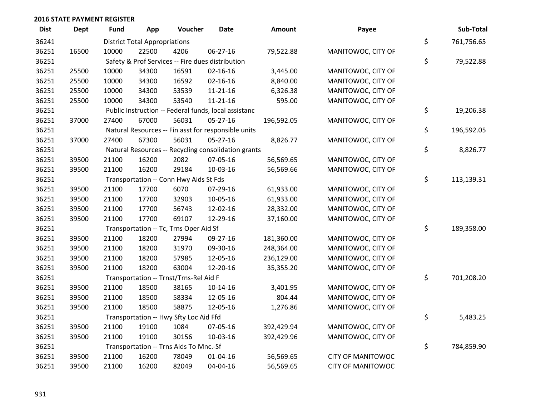| <b>Dist</b> | <b>Dept</b> | <b>Fund</b> | App                                  | Voucher                                | Date                                                 | Amount     | Payee                    | Sub-Total        |
|-------------|-------------|-------------|--------------------------------------|----------------------------------------|------------------------------------------------------|------------|--------------------------|------------------|
| 36241       |             |             | <b>District Total Appropriations</b> |                                        |                                                      |            |                          | \$<br>761,756.65 |
| 36251       | 16500       | 10000       | 22500                                | 4206                                   | 06-27-16                                             | 79,522.88  | MANITOWOC, CITY OF       |                  |
| 36251       |             |             |                                      |                                        | Safety & Prof Services -- Fire dues distribution     |            |                          | \$<br>79,522.88  |
| 36251       | 25500       | 10000       | 34300                                | 16591                                  | $02 - 16 - 16$                                       | 3,445.00   | MANITOWOC, CITY OF       |                  |
| 36251       | 25500       | 10000       | 34300                                | 16592                                  | $02 - 16 - 16$                                       | 8,840.00   | MANITOWOC, CITY OF       |                  |
| 36251       | 25500       | 10000       | 34300                                | 53539                                  | $11 - 21 - 16$                                       | 6,326.38   | MANITOWOC, CITY OF       |                  |
| 36251       | 25500       | 10000       | 34300                                | 53540                                  | $11 - 21 - 16$                                       | 595.00     | MANITOWOC, CITY OF       |                  |
| 36251       |             |             |                                      |                                        | Public Instruction -- Federal funds, local assistanc |            |                          | \$<br>19,206.38  |
| 36251       | 37000       | 27400       | 67000                                | 56031                                  | 05-27-16                                             | 196,592.05 | MANITOWOC, CITY OF       |                  |
| 36251       |             |             |                                      |                                        | Natural Resources -- Fin asst for responsible units  |            |                          | \$<br>196,592.05 |
| 36251       | 37000       | 27400       | 67300                                | 56031                                  | 05-27-16                                             | 8,826.77   | MANITOWOC, CITY OF       |                  |
| 36251       |             |             |                                      |                                        | Natural Resources -- Recycling consolidation grants  |            |                          | \$<br>8,826.77   |
| 36251       | 39500       | 21100       | 16200                                | 2082                                   | 07-05-16                                             | 56,569.65  | MANITOWOC, CITY OF       |                  |
| 36251       | 39500       | 21100       | 16200                                | 29184                                  | 10-03-16                                             | 56,569.66  | MANITOWOC, CITY OF       |                  |
| 36251       |             |             |                                      | Transportation -- Conn Hwy Aids St Fds |                                                      |            |                          | \$<br>113,139.31 |
| 36251       | 39500       | 21100       | 17700                                | 6070                                   | 07-29-16                                             | 61,933.00  | MANITOWOC, CITY OF       |                  |
| 36251       | 39500       | 21100       | 17700                                | 32903                                  | 10-05-16                                             | 61,933.00  | MANITOWOC, CITY OF       |                  |
| 36251       | 39500       | 21100       | 17700                                | 56743                                  | 12-02-16                                             | 28,332.00  | MANITOWOC, CITY OF       |                  |
| 36251       | 39500       | 21100       | 17700                                | 69107                                  | 12-29-16                                             | 37,160.00  | MANITOWOC, CITY OF       |                  |
| 36251       |             |             |                                      | Transportation -- Tc, Trns Oper Aid Sf |                                                      |            |                          | \$<br>189,358.00 |
| 36251       | 39500       | 21100       | 18200                                | 27994                                  | 09-27-16                                             | 181,360.00 | MANITOWOC, CITY OF       |                  |
| 36251       | 39500       | 21100       | 18200                                | 31970                                  | 09-30-16                                             | 248,364.00 | MANITOWOC, CITY OF       |                  |
| 36251       | 39500       | 21100       | 18200                                | 57985                                  | 12-05-16                                             | 236,129.00 | MANITOWOC, CITY OF       |                  |
| 36251       | 39500       | 21100       | 18200                                | 63004                                  | 12-20-16                                             | 35,355.20  | MANITOWOC, CITY OF       |                  |
| 36251       |             |             |                                      | Transportation -- Trnst/Trns-Rel Aid F |                                                      |            |                          | \$<br>701,208.20 |
| 36251       | 39500       | 21100       | 18500                                | 38165                                  | $10-14-16$                                           | 3,401.95   | MANITOWOC, CITY OF       |                  |
| 36251       | 39500       | 21100       | 18500                                | 58334                                  | 12-05-16                                             | 804.44     | MANITOWOC, CITY OF       |                  |
| 36251       | 39500       | 21100       | 18500                                | 58875                                  | 12-05-16                                             | 1,276.86   | MANITOWOC, CITY OF       |                  |
| 36251       |             |             |                                      | Transportation -- Hwy Sfty Loc Aid Ffd |                                                      |            |                          | \$<br>5,483.25   |
| 36251       | 39500       | 21100       | 19100                                | 1084                                   | 07-05-16                                             | 392,429.94 | MANITOWOC, CITY OF       |                  |
| 36251       | 39500       | 21100       | 19100                                | 30156                                  | 10-03-16                                             | 392,429.96 | MANITOWOC, CITY OF       |                  |
| 36251       |             |             |                                      | Transportation -- Trns Aids To Mnc.-Sf |                                                      |            |                          | \$<br>784,859.90 |
| 36251       | 39500       | 21100       | 16200                                | 78049                                  | $01 - 04 - 16$                                       | 56,569.65  | <b>CITY OF MANITOWOC</b> |                  |
| 36251       | 39500       | 21100       | 16200                                | 82049                                  | 04-04-16                                             | 56,569.65  | <b>CITY OF MANITOWOC</b> |                  |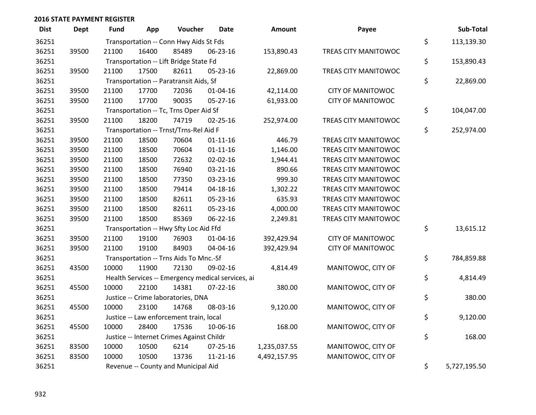| <b>Dist</b> | <b>Dept</b> | Fund  | App                                 | Voucher                                           | <b>Date</b>    | Amount       | Payee                       |    | Sub-Total  |  |
|-------------|-------------|-------|-------------------------------------|---------------------------------------------------|----------------|--------------|-----------------------------|----|------------|--|
| 36251       |             |       |                                     | Transportation -- Conn Hwy Aids St Fds            |                |              |                             | \$ | 113,139.30 |  |
| 36251       | 39500       | 21100 | 16400                               | 85489                                             | 06-23-16       | 153,890.43   | <b>TREAS CITY MANITOWOC</b> |    |            |  |
| 36251       |             |       |                                     | Transportation -- Lift Bridge State Fd            |                |              |                             | \$ | 153,890.43 |  |
| 36251       | 39500       | 21100 | 17500                               | 82611                                             | 05-23-16       | 22,869.00    | TREAS CITY MANITOWOC        |    |            |  |
| 36251       |             |       |                                     | Transportation -- Paratransit Aids, Sf            |                |              |                             | \$ | 22,869.00  |  |
| 36251       | 39500       | 21100 | 17700                               | 72036                                             | $01 - 04 - 16$ | 42,114.00    | <b>CITY OF MANITOWOC</b>    |    |            |  |
| 36251       | 39500       | 21100 | 17700                               | 90035                                             | $05 - 27 - 16$ | 61,933.00    | <b>CITY OF MANITOWOC</b>    |    |            |  |
| 36251       |             |       |                                     | Transportation -- Tc, Trns Oper Aid Sf            |                |              |                             | \$ | 104,047.00 |  |
| 36251       | 39500       | 21100 | 18200                               | 74719                                             | $02 - 25 - 16$ | 252,974.00   | TREAS CITY MANITOWOC        |    |            |  |
| 36251       |             |       |                                     | Transportation -- Trnst/Trns-Rel Aid F            |                |              |                             | \$ | 252,974.00 |  |
| 36251       | 39500       | 21100 | 18500                               | 70604                                             | $01 - 11 - 16$ | 446.79       | TREAS CITY MANITOWOC        |    |            |  |
| 36251       | 39500       | 21100 | 18500                               | 70604                                             | $01 - 11 - 16$ | 1,146.00     | TREAS CITY MANITOWOC        |    |            |  |
| 36251       | 39500       | 21100 | 18500                               | 72632                                             | $02 - 02 - 16$ | 1,944.41     | TREAS CITY MANITOWOC        |    |            |  |
| 36251       | 39500       | 21100 | 18500                               | 76940                                             | $03 - 21 - 16$ | 890.66       | TREAS CITY MANITOWOC        |    |            |  |
| 36251       | 39500       | 21100 | 18500                               | 77350                                             | 03-23-16       | 999.30       | TREAS CITY MANITOWOC        |    |            |  |
| 36251       | 39500       | 21100 | 18500                               | 79414                                             | $04 - 18 - 16$ | 1,302.22     | TREAS CITY MANITOWOC        |    |            |  |
| 36251       | 39500       | 21100 | 18500                               | 82611                                             | 05-23-16       | 635.93       | TREAS CITY MANITOWOC        |    |            |  |
| 36251       | 39500       | 21100 | 18500                               | 82611                                             | 05-23-16       | 4,000.00     | TREAS CITY MANITOWOC        |    |            |  |
| 36251       | 39500       | 21100 | 18500                               | 85369                                             | 06-22-16       | 2,249.81     | TREAS CITY MANITOWOC        |    |            |  |
| 36251       |             |       |                                     | Transportation -- Hwy Sfty Loc Aid Ffd            |                |              |                             | \$ | 13,615.12  |  |
| 36251       | 39500       | 21100 | 19100                               | 76903                                             | $01 - 04 - 16$ | 392,429.94   | <b>CITY OF MANITOWOC</b>    |    |            |  |
| 36251       | 39500       | 21100 | 19100                               | 84903                                             | 04-04-16       | 392,429.94   | <b>CITY OF MANITOWOC</b>    |    |            |  |
| 36251       |             |       |                                     | Transportation -- Trns Aids To Mnc.-Sf            |                |              |                             | \$ | 784,859.88 |  |
| 36251       | 43500       | 10000 | 11900                               | 72130                                             | 09-02-16       | 4,814.49     | MANITOWOC, CITY OF          |    |            |  |
| 36251       |             |       |                                     | Health Services -- Emergency medical services, ai |                |              |                             | \$ | 4,814.49   |  |
| 36251       | 45500       | 10000 | 22100                               | 14381                                             | $07 - 22 - 16$ | 380.00       | MANITOWOC, CITY OF          |    |            |  |
| 36251       |             |       |                                     | Justice -- Crime laboratories, DNA                |                |              |                             | \$ | 380.00     |  |
| 36251       | 45500       | 10000 | 23100                               | 14768                                             | 08-03-16       | 9,120.00     | MANITOWOC, CITY OF          |    |            |  |
| 36251       |             |       |                                     | Justice -- Law enforcement train, local           |                |              |                             | \$ | 9,120.00   |  |
| 36251       | 45500       | 10000 | 28400                               | 17536                                             | 10-06-16       | 168.00       | MANITOWOC, CITY OF          |    |            |  |
| 36251       |             |       |                                     | Justice -- Internet Crimes Against Childr         |                |              |                             | \$ | 168.00     |  |
| 36251       | 83500       | 10000 | 10500                               | 6214                                              | 07-25-16       | 1,235,037.55 | MANITOWOC, CITY OF          |    |            |  |
| 36251       | 83500       | 10000 | 10500                               | 13736                                             | 11-21-16       | 4,492,157.95 | MANITOWOC, CITY OF          |    |            |  |
| 36251       |             |       | Revenue -- County and Municipal Aid |                                                   |                |              |                             |    |            |  |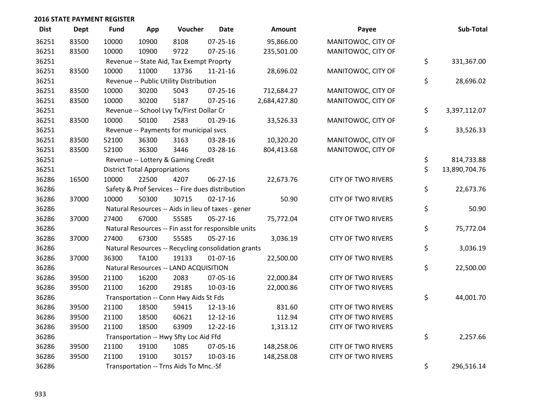| <b>Dist</b> | Dept  | <b>Fund</b> | App                                  | Voucher                                             | <b>Date</b>    | <b>Amount</b> | Payee                     | Sub-Total           |
|-------------|-------|-------------|--------------------------------------|-----------------------------------------------------|----------------|---------------|---------------------------|---------------------|
| 36251       | 83500 | 10000       | 10900                                | 8108                                                | $07 - 25 - 16$ | 95,866.00     | MANITOWOC, CITY OF        |                     |
| 36251       | 83500 | 10000       | 10900                                | 9722                                                | $07 - 25 - 16$ | 235,501.00    | MANITOWOC, CITY OF        |                     |
| 36251       |       |             |                                      | Revenue -- State Aid, Tax Exempt Proprty            |                |               |                           | \$<br>331,367.00    |
| 36251       | 83500 | 10000       | 11000                                | 13736                                               | $11 - 21 - 16$ | 28,696.02     | MANITOWOC, CITY OF        |                     |
| 36251       |       |             |                                      | Revenue -- Public Utility Distribution              |                |               |                           | \$<br>28,696.02     |
| 36251       | 83500 | 10000       | 30200                                | 5043                                                | $07 - 25 - 16$ | 712,684.27    | MANITOWOC, CITY OF        |                     |
| 36251       | 83500 | 10000       | 30200                                | 5187                                                | $07 - 25 - 16$ | 2,684,427.80  | MANITOWOC, CITY OF        |                     |
| 36251       |       |             |                                      | Revenue -- School Lvy Tx/First Dollar Cr            |                |               |                           | \$<br>3,397,112.07  |
| 36251       | 83500 | 10000       | 50100                                | 2583                                                | $01-29-16$     | 33,526.33     | MANITOWOC, CITY OF        |                     |
| 36251       |       |             |                                      | Revenue -- Payments for municipal svcs              |                |               |                           | \$<br>33,526.33     |
| 36251       | 83500 | 52100       | 36300                                | 3163                                                | 03-28-16       | 10,320.20     | MANITOWOC, CITY OF        |                     |
| 36251       | 83500 | 52100       | 36300                                | 3446                                                | 03-28-16       | 804,413.68    | MANITOWOC, CITY OF        |                     |
| 36251       |       |             |                                      | Revenue -- Lottery & Gaming Credit                  |                |               |                           | \$<br>814,733.88    |
| 36251       |       |             | <b>District Total Appropriations</b> |                                                     |                |               |                           | \$<br>13,890,704.76 |
| 36286       | 16500 | 10000       | 22500                                | 4207                                                | 06-27-16       | 22,673.76     | <b>CITY OF TWO RIVERS</b> |                     |
| 36286       |       |             |                                      | Safety & Prof Services -- Fire dues distribution    |                |               |                           | \$<br>22,673.76     |
| 36286       | 37000 | 10000       | 50300                                | 30715                                               | $02 - 17 - 16$ | 50.90         | <b>CITY OF TWO RIVERS</b> |                     |
| 36286       |       |             |                                      | Natural Resources -- Aids in lieu of taxes - gener  |                |               |                           | \$<br>50.90         |
| 36286       | 37000 | 27400       | 67000                                | 55585                                               | $05 - 27 - 16$ | 75,772.04     | <b>CITY OF TWO RIVERS</b> |                     |
| 36286       |       |             |                                      | Natural Resources -- Fin asst for responsible units |                |               |                           | \$<br>75,772.04     |
| 36286       | 37000 | 27400       | 67300                                | 55585                                               | $05 - 27 - 16$ | 3,036.19      | <b>CITY OF TWO RIVERS</b> |                     |
| 36286       |       |             |                                      | Natural Resources -- Recycling consolidation grants |                |               |                           | \$<br>3,036.19      |
| 36286       | 37000 | 36300       | <b>TA100</b>                         | 19133                                               | $01-07-16$     | 22,500.00     | <b>CITY OF TWO RIVERS</b> |                     |
| 36286       |       |             |                                      | Natural Resources -- LAND ACQUISITION               |                |               |                           | \$<br>22,500.00     |
| 36286       | 39500 | 21100       | 16200                                | 2083                                                | 07-05-16       | 22,000.84     | <b>CITY OF TWO RIVERS</b> |                     |
| 36286       | 39500 | 21100       | 16200                                | 29185                                               | 10-03-16       | 22,000.86     | <b>CITY OF TWO RIVERS</b> |                     |
| 36286       |       |             |                                      | Transportation -- Conn Hwy Aids St Fds              |                |               |                           | \$<br>44,001.70     |
| 36286       | 39500 | 21100       | 18500                                | 59415                                               | 12-13-16       | 831.60        | <b>CITY OF TWO RIVERS</b> |                     |
| 36286       | 39500 | 21100       | 18500                                | 60621                                               | 12-12-16       | 112.94        | <b>CITY OF TWO RIVERS</b> |                     |
| 36286       | 39500 | 21100       | 18500                                | 63909                                               | 12-22-16       | 1,313.12      | <b>CITY OF TWO RIVERS</b> |                     |
| 36286       |       |             |                                      | Transportation -- Hwy Sfty Loc Aid Ffd              |                |               |                           | \$<br>2,257.66      |
| 36286       | 39500 | 21100       | 19100                                | 1085                                                | 07-05-16       | 148,258.06    | <b>CITY OF TWO RIVERS</b> |                     |
| 36286       | 39500 | 21100       | 19100                                | 30157                                               | 10-03-16       | 148,258.08    | <b>CITY OF TWO RIVERS</b> |                     |
| 36286       |       |             |                                      | Transportation -- Trns Aids To Mnc.-Sf              |                |               |                           | \$<br>296,516.14    |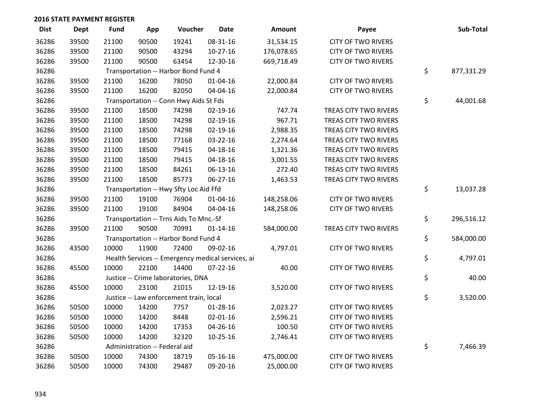| <b>Dist</b> | Dept  | <b>Fund</b> | App                           | Voucher                                           | <b>Date</b>    | Amount     | Payee                     | Sub-Total        |
|-------------|-------|-------------|-------------------------------|---------------------------------------------------|----------------|------------|---------------------------|------------------|
| 36286       | 39500 | 21100       | 90500                         | 19241                                             | 08-31-16       | 31,534.15  | <b>CITY OF TWO RIVERS</b> |                  |
| 36286       | 39500 | 21100       | 90500                         | 43294                                             | $10-27-16$     | 176,078.65 | <b>CITY OF TWO RIVERS</b> |                  |
| 36286       | 39500 | 21100       | 90500                         | 63454                                             | 12-30-16       | 669,718.49 | <b>CITY OF TWO RIVERS</b> |                  |
| 36286       |       |             |                               | Transportation -- Harbor Bond Fund 4              |                |            |                           | \$<br>877,331.29 |
| 36286       | 39500 | 21100       | 16200                         | 78050                                             | $01 - 04 - 16$ | 22,000.84  | <b>CITY OF TWO RIVERS</b> |                  |
| 36286       | 39500 | 21100       | 16200                         | 82050                                             | 04-04-16       | 22,000.84  | <b>CITY OF TWO RIVERS</b> |                  |
| 36286       |       |             |                               | Transportation -- Conn Hwy Aids St Fds            |                |            |                           | \$<br>44,001.68  |
| 36286       | 39500 | 21100       | 18500                         | 74298                                             | $02 - 19 - 16$ | 747.74     | TREAS CITY TWO RIVERS     |                  |
| 36286       | 39500 | 21100       | 18500                         | 74298                                             | 02-19-16       | 967.71     | TREAS CITY TWO RIVERS     |                  |
| 36286       | 39500 | 21100       | 18500                         | 74298                                             | 02-19-16       | 2,988.35   | TREAS CITY TWO RIVERS     |                  |
| 36286       | 39500 | 21100       | 18500                         | 77168                                             | 03-22-16       | 2,274.64   | TREAS CITY TWO RIVERS     |                  |
| 36286       | 39500 | 21100       | 18500                         | 79415                                             | $04 - 18 - 16$ | 1,321.36   | TREAS CITY TWO RIVERS     |                  |
| 36286       | 39500 | 21100       | 18500                         | 79415                                             | $04 - 18 - 16$ | 3,001.55   | TREAS CITY TWO RIVERS     |                  |
| 36286       | 39500 | 21100       | 18500                         | 84261                                             | 06-13-16       | 272.40     | TREAS CITY TWO RIVERS     |                  |
| 36286       | 39500 | 21100       | 18500                         | 85773                                             | 06-27-16       | 1,463.53   | TREAS CITY TWO RIVERS     |                  |
| 36286       |       |             |                               | Transportation -- Hwy Sfty Loc Aid Ffd            |                |            |                           | \$<br>13,037.28  |
| 36286       | 39500 | 21100       | 19100                         | 76904                                             | 01-04-16       | 148,258.06 | <b>CITY OF TWO RIVERS</b> |                  |
| 36286       | 39500 | 21100       | 19100                         | 84904                                             | 04-04-16       | 148,258.06 | <b>CITY OF TWO RIVERS</b> |                  |
| 36286       |       |             |                               | Transportation -- Trns Aids To Mnc.-Sf            |                |            |                           | \$<br>296,516.12 |
| 36286       | 39500 | 21100       | 90500                         | 70991                                             | $01 - 14 - 16$ | 584,000.00 | TREAS CITY TWO RIVERS     |                  |
| 36286       |       |             |                               | Transportation -- Harbor Bond Fund 4              |                |            |                           | \$<br>584,000.00 |
| 36286       | 43500 | 10000       | 11900                         | 72400                                             | 09-02-16       | 4,797.01   | <b>CITY OF TWO RIVERS</b> |                  |
| 36286       |       |             |                               | Health Services -- Emergency medical services, ai |                |            |                           | \$<br>4,797.01   |
| 36286       | 45500 | 10000       | 22100                         | 14400                                             | $07 - 22 - 16$ | 40.00      | <b>CITY OF TWO RIVERS</b> |                  |
| 36286       |       |             |                               | Justice -- Crime laboratories, DNA                |                |            |                           | \$<br>40.00      |
| 36286       | 45500 | 10000       | 23100                         | 21015                                             | 12-19-16       | 3,520.00   | <b>CITY OF TWO RIVERS</b> |                  |
| 36286       |       |             |                               | Justice -- Law enforcement train, local           |                |            |                           | \$<br>3,520.00   |
| 36286       | 50500 | 10000       | 14200                         | 7757                                              | $01 - 28 - 16$ | 2,023.27   | <b>CITY OF TWO RIVERS</b> |                  |
| 36286       | 50500 | 10000       | 14200                         | 8448                                              | $02 - 01 - 16$ | 2,596.21   | <b>CITY OF TWO RIVERS</b> |                  |
| 36286       | 50500 | 10000       | 14200                         | 17353                                             | 04-26-16       | 100.50     | <b>CITY OF TWO RIVERS</b> |                  |
| 36286       | 50500 | 10000       | 14200                         | 32320                                             | $10-25-16$     | 2,746.41   | <b>CITY OF TWO RIVERS</b> |                  |
| 36286       |       |             | Administration -- Federal aid |                                                   |                |            |                           | \$<br>7,466.39   |
| 36286       | 50500 | 10000       | 74300                         | 18719                                             | 05-16-16       | 475,000.00 | <b>CITY OF TWO RIVERS</b> |                  |
| 36286       | 50500 | 10000       | 74300                         | 29487                                             | 09-20-16       | 25,000.00  | <b>CITY OF TWO RIVERS</b> |                  |